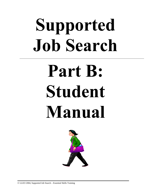# **Supported Job Search**

# **Part B: Student Manual**



© LLEO 2004, Supported Job Search – Essential Skills Training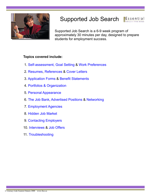

#### Supported Job Search Essential

Supported Job Search is a 6-9 week program of approximately 30 minutes per day, designed to prepare students for employment success.

#### **Topics covered include:**

- 1. [Self-assessment,](#page-2-0) [Goal Setting](#page-10-0) & [Work Preferences](#page-13-0)
- 2[. Resumes,](#page-16-0) [References](#page-18-0) & [Cover Letters](#page-22-0)
- 3[. Application Forms](#page-25-0) & [Benefit Statements](#page-40-0)
- 4. Portfolios & [Organization](#page-42-0)
- 5. [Personal Appearance](#page-43-0)
- 6[. The Job Bank,](#page-45-0) [Advertised Positions](#page-48-0) & [Networking](#page-50-0)
- 7. [Employment Agencies](#page-52-0)
- 8. [Hidden Job Market](#page-62-0)
- 9. [Contacting Employers](#page-63-0)
- 10. [Interviews](#page-85-0) & [Job Offers](#page-98-0)
- 11. [Troubleshooting](#page-101-0)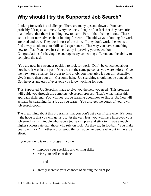## <span id="page-2-0"></span>**Why should I try the Supported Job Search?**

Looking for work is a challenge. There are many ups and downs. You have probably felt upset at times. Everyone does. People often feel that they have tried it all before, that there is nothing new to learn. Part of that feeling is true. There isn't a lot of new advice about looking for work. The old ways of looking for work are tried and true. They work most of the time. If they don't work, the key is to find a way to add to your skills and experiences. That way you have something new to offer. You have just done that by improving your education. Congratulations for having the courage to try something different and the ability to complete the task.

 You are now in a stronger position to look for work. Don't be concerned about how hard it was in the past. You are not the same person as you were before. Give the **new you** a chance. In order to find a job, you must give it your all. Actually, give it more than your all. Get some help. Job searching should not be done alone. Get the eyes and ears of everyone you know working for you.

This Supported Job Search is made to give you the help you need. This program will guide you through the complete job search process. That's what makes this approach different. You will not just be learning about how to find a job. You will actually be searching for a job as you learn. You also get the bonus of your own job search coach.

The great thing about this program is that you don't get a certificate when it's done – the hope is that you will get a job. At the very least you will have improved your job search skills. People who have a job search plan and stick to it have a much higher success rate than those who rely on luck. As they say in football, "you make your own luck." In other words, good things happen to people who put in the extra effort.

If you decide to take this program, you will…

- improve your speaking and writing skills
- raise your self-confidence

and

• greatly increase your chances of finding the right job.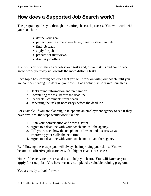## **How does a Supported Job Search work?**

The program guides you through the entire job search process. You will work with your coach to:

- define your goal
- perfect your resume, cover letter, benefits statement, etc.
- find job leads
- apply for jobs
- prepare for interviews
- discuss job offers

You will start with the easier job search tasks and, as your skills and confidence grow, work your way up towards the more difficult tasks.

Each topic has learning activities that you will work on with your coach until you are confident enough to do it on your own. Each activity is split into four steps.

- 1. Background information and preparation
- 2. Completing the task before the deadline
- 3. Feedback comments from coach
- 4. Repeating the task (if necessary) before the deadline

For example, if you are planning to telephone an employment agency to see if they have any jobs, the steps would work like this:

- 1. Plan your conversation and write a script.
- 2. Agree to a deadline with your coach and call the agency.
- 3. Tell your coach how the telephone call went and discuss ways of improving your skills the next time.
- 4. Agree to a deadline with your coach and call another agency.

By following these steps you will always be improving your skills. You will become an **effective** job searcher with a higher chance of success.

None of the activities are created just to help you learn. **You will learn as you apply for real jobs.** You have recently completed a valuable training program.

You are ready to look for work!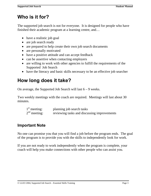# **Who is it for?**

The supported job search is not for everyone. It is designed for people who have finished their academic program at a learning centre, and…

- have a realistic job goal
- are job search ready
- are prepared to help create their own job search documents
- are personally motivated
- have a positive attitude and can accept feedback
- can be assertive when contacting employers
- are willing to work with other agencies to fulfill the requirements of the Supported Job Search
- have the literacy and basic skills necessary to be an effective job searcher

# **How long does it take?**

On average, the Supported Job Search will last  $6 - 9$  weeks.

Two weekly meetings with the coach are required. Meetings will last about 30 minutes.

| $1st$ meeting: | planning job search tasks                   |
|----------------|---------------------------------------------|
| $2nd$ meeting: | reviewing tasks and discussing improvements |

## **Important Note**

No one can promise you that you will find a job before the program ends. The goal of the program is to provide you with the skills to independently look for work.

If you are not ready to work independently when the program is complete, your coach will help you make connections with other people who can assist you.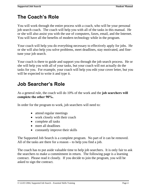# **The Coach's Role**

You will work through the entire process with a coach, who will be your personal job search coach. The coach will help you with all of the tasks in this manual. He or she will also assist you with the use of computers, faxes, email, and the Internet. You will have all the benefits of modern technology while in the program.

Your coach will help you do everything necessary to effectively apply for jobs. He or she will also help you solve problems, meet deadlines, stay motivated, and finetune your job search.

Your coach is there to guide and support you through the job search process. He or she will help you with all of your tasks, but your coach will not actually do the tasks for you. For example, your coach will help you edit your cover letter, but you will be expected to write it and type it.

# **Job Searcher's Role**

As a general rule, the coach will do 10% of the work and the **job searchers will complete the other 90%.** 

In order for the program to work, job searchers will need to:

- attend regular meetings
- work closely with their coach
- complete all tasks
- meet all deadlines
- constantly improve their skills

The Supported Job Search is a complete program. No part of it can be removed. All of the tasks are there for a reason – to help you find a job.

The coach has to put aside valuable time to help job searchers. It is only fair to ask the searchers to make a commitment in return. The following page is a learning contract. Please read it closely. If you decide to join the program, you will be asked to sign the contract.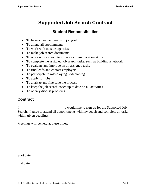# **Supported Job Search Contract**

## **Student Responsibilities**

- To have a clear and realistic job goal
- To attend all appointments
- To work with outside agencies
- To make job search documents
- To work with a coach to improve communication skills
- To complete the assigned job search tasks, such as building a network
- To evaluate and improve on all assigned tasks
- To find leads and contact employers
- To participate in role-playing, videotaping
- To apply for jobs
- To analyze and fine-tune the process
- To keep the job search coach up to date on all activities
- To openly discuss problems

## **Contract**

I, \_\_\_\_\_\_\_\_\_\_\_\_\_\_\_\_\_\_\_\_\_\_\_\_\_\_\_, would like to sign up for the Supported Job Search. I agree to attend all appointments with my coach and complete all tasks within given deadlines.

Meetings will be held at these times: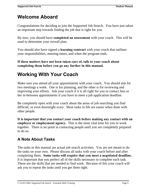# **Welcome Aboard**

Congratulations for deciding to join the Supported Job Search. You have just taken an important step towards finding the job that is right for you.

By now, you should have **completed an assessment** with your coach. This will be used to determine your overall plan.

You should also have signed a **learning contract** with your coach that outlines your responsibilities, meeting times, and when the program ends.

**If these matters have not been taken care of, talk to your coach about completing them before you go any further in this manual.** 

# **Working With Your Coach**

Make sure you attend all your appointments with your coach. You should aim for two meetings a week. One is for planning, and the other is for reviewing and improving your efforts. Ask your coach if it is all right for you to contact him or her in-between appointments if you have to meet a job application deadline.

Be completely open with your coach about the areas of job searching you find difficult, or even downright scary. Most tasks in life are easier when done with other people.

**It is important that you contact your coach before making any contact with an employer or employment agency.** This is the most vital time for you to work together. There is no point in contacting people until you are completely prepared to do so.

## **A Note About Tasks**

The tasks in this manual are actual job search activities. You are not meant to do the tasks on your own. Please discuss all tasks with your coach before and after completing them. **Some tasks will require that you meet a negotiated deadline.**  It is important that you perfect all of the skills necessary to complete each task. These are the skills that are needed to find work. Because of this your coach will ask you to repeat the tasks until you get them right.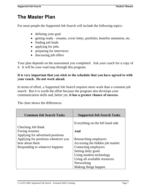# **The Master Plan**

For most people the Supported Job Search will include the following topics:

- defining your goal
- getting ready resume, cover letter, portfolio, benefits statement, etc.
- finding job leads
- applying for jobs
- preparing for interviews
- discussing job offers

Your plan depends on the assessment you completed. Ask your coach for a copy of it. It will be your road map through this program.

#### **It is very important that you stick to the schedule that you have agreed to with your coach. Do not work ahead.**

In terms of effort, a Supported Job Search requires more work than a common job search. But it is worth the effort because the program also develops your communication skills and, better yet, **it has a greater chance of success.** 

The chart shows the differences.

| <b>Common Job Search Tasks</b>                                                                                                | <b>Supported Job Search Tasks</b>                                                                       |
|-------------------------------------------------------------------------------------------------------------------------------|---------------------------------------------------------------------------------------------------------|
| Checking Job Bank                                                                                                             | Everything on the left hand side                                                                        |
| Faxing resumes                                                                                                                | And                                                                                                     |
| Applying for advertised positions<br>Applying for positions whenever you<br>hear about them<br>Responding to whatever happens | Researching employers<br>Accessing the hidden job market<br>Contacting employers<br>Setting daily goals |
|                                                                                                                               | Using modern technology                                                                                 |
|                                                                                                                               | Using all available resources                                                                           |
|                                                                                                                               | Networking<br>Making things happen                                                                      |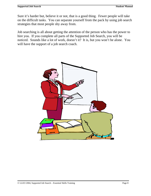Sure it's harder but, believe it or not, that is a good thing. Fewer people will take on the difficult tasks. You can separate yourself from the pack by using job search strategies that most people shy away from.

Job searching is all about getting the attention of the person who has the power to hire you. If you complete all parts of the Supported Job Search, you will be noticed. Sounds like a lot of work, doesn't it? It is, but you won't be alone. You will have the support of a job search coach.

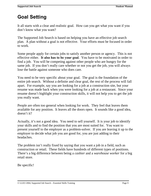# <span id="page-10-0"></span>**Goal Setting**

It all starts with a clear and realistic goal. How can you get what you want if you don't know what you want?

The Supported Job Search is based on helping you have an effective job search plan. A plan without a goal is not effective. Your efforts must be focused in order to work.

Some people apply for certain jobs to satisfy another person or agency. This is not effective either. **It also has to be your goal**. You have to be motivated in order to find a job. You will be competing against other people who are hungry for the same job. If you don't really care whether or not you get the job, you will always lose the battle against someone who does care.

You need to be very specific about your goal. The goal is the foundation of the entire job search. Without a definite and clear goal, the rest of the process will fall apart. For example, say you are looking for a job at a construction site, but your resume was made back when you were looking for a job at a restaurant. Since your resume doesn't highlight your construction skills, it will not help you to get the job you really want.

People are often too general when looking for work. They feel that leaves them available for any position. It leaves all the doors open. It sounds like a good idea, doesn't it?

Actually, it's not a good idea. You need to sell yourself. It is your job to identify your skills and to find the position that you are most suited for. You want to present yourself to the employer as a problem-solver. If you are leaving it up to the employer to decide what job you are good for, you are just adding to their headaches.

The problem isn't really fixed by saying that you want a job in a field, such as construction or retail. These fields have hundreds of different types of positions. There's a big difference between being a *cashier* and a *warehouse worker* for a big retail store.

Be specific!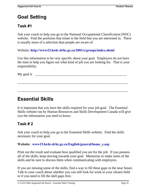# **Goal Setting**

## **Task #1**

Ask your coach to help you go to the National Occupational Classification (NOC) website. Find the positions that relate to the field that you are interested in. There is usually more of a selection than people are aware of.

Website: **http://www23.hrdc-drhc.gc.ca/2001/e/groups/index.shtml**

Use this information to be very specific about your goal. Employers do not have the time to help you figure out what kind of job you are looking for. That is your responsibility.

\_\_\_\_\_\_\_\_\_\_\_\_\_\_\_\_\_\_\_\_\_\_\_\_\_\_\_\_\_\_\_\_\_\_\_\_\_\_\_\_\_\_\_\_\_\_\_\_\_\_\_\_\_\_\_\_\_\_\_\_\_\_\_\_

\_\_\_\_\_\_\_\_\_\_\_\_\_\_\_\_\_\_\_\_\_\_\_\_\_\_\_\_\_\_\_\_\_\_\_\_\_\_\_\_\_\_\_\_\_\_\_\_\_\_\_\_\_\_\_\_\_\_\_\_\_\_\_\_

My goal is  $\Box$ 

# **Essential Skills**

It is important that you have the skills required for your job goal. The Essential Skills website run by Human Resources and Skills Development Canada will give you the information you need to know.

## **Task # 2**

Ask your coach to help you go to the Essential Skills website. Find the skills necessary for your goal.

#### **Website: www15.hrdc-drhc.gc.ca/English/general/home\_e.asp**

Print out the result and evaluate how qualified you are for the job. If you possess all of the skills, keep moving towards your goal. Memorize or make notes of the skills and be sure to discuss them when communicating with employers.

If you are missing some of the skills, find a way to fill these gaps in the near future. Talk to your coach about whether you can still look for work in your chosen field or if you need to fill the skill gaps first.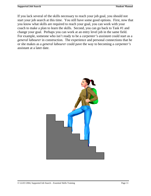If you lack several of the skills necessary to reach your job goal, you should not start your job search at this time. You still have some good options. First, now that you know what skills are required to reach your goal, you can work with your coach to make a plan to learn the skills. Second, you can go back to Task #1 and change your goal. Perhaps you can work at an entry level job in the same field. For example, someone who isn't ready to be a *carpenter's assistant* could start as a *general labourer* in construction. The experience and personal connections that he or she makes as a *general labourer* could pave the way to becoming a *carpenter's* assistant at a later date.

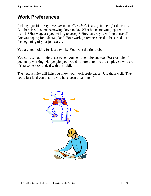# <span id="page-13-0"></span>**Work Preferences**

Picking a position, say a *cashier* or an *office clerk*, is a step in the right direction. But there is still some narrowing down to do. What hours are you prepared to work? What wage are you willing to accept? How far are you willing to travel? Are you hoping for a dental plan? Your work preferences need to be sorted out at the beginning of your job search.

You are not looking for just any job. You want the right job.

You can use your preferences to sell yourself to employers, too. For example, if you enjoy working with people, you would be sure to tell that to employers who are hiring somebody to deal with the public.

The next activity will help you know your work preferences. Use them well. They could just land you that job you have been dreaming of.

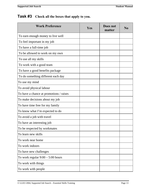## **Task #3 Check all the boxes that apply to you.**

| <b>Work Preference</b>                  | Yes | Does not<br>matter | N <sub>0</sub> |
|-----------------------------------------|-----|--------------------|----------------|
| To earn enough money to live well       |     |                    |                |
| To feel important in my job             |     |                    |                |
| To have a full-time job                 |     |                    |                |
| To be allowed to work on my own         |     |                    |                |
| To use all my skills                    |     |                    |                |
| To work with a good team                |     |                    |                |
| To have a good benefits package         |     |                    |                |
| To do something different each day      |     |                    |                |
| To use my mind                          |     |                    |                |
| To avoid physical labour                |     |                    |                |
| To have a chance at promotions / raises |     |                    |                |
| To make decisions about my job          |     |                    |                |
| To have time free for my family         |     |                    |                |
| To know what I'm expected to do         |     |                    |                |
| To avoid a job with travel              |     |                    |                |
| To have an interesting job              |     |                    |                |
| To be respected by workmates            |     |                    |                |
| To learn new skills                     |     |                    |                |
| To work near home                       |     |                    |                |
| To work indoors                         |     |                    |                |
| To have new challenges                  |     |                    |                |
| To work regular $9:00 - 5:00$ hours     |     |                    |                |
| To work with things                     |     |                    |                |
| To work with people                     |     |                    |                |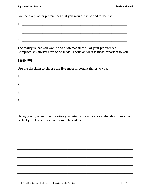Are there any other preferences that you would like to add to the list?

| 1. | <u> 2000 - 2000 - 2000 - 2000 - 2000 - 2000 - 2000 - 2000 - 2000 - 2000 - 2000 - 2000 - 2000 - 2000 - 2000 - 200</u> |  |
|----|----------------------------------------------------------------------------------------------------------------------|--|
| ◠  |                                                                                                                      |  |
| 3. |                                                                                                                      |  |

The reality is that you won't find a job that suits all of your preferences. Compromises always have to be made. Focus on what is most important to you.

## **Task #4**

Use the checklist to choose the five most important things to you.

| 4. $\overline{\phantom{a}}$ |
|-----------------------------|
| 5.                          |
|                             |

Using your goal and the priorities you listed write a paragraph that describes your perfect job. Use at least five complete sentences.

\_\_\_\_\_\_\_\_\_\_\_\_\_\_\_\_\_\_\_\_\_\_\_\_\_\_\_\_\_\_\_\_\_\_\_\_\_\_\_\_\_\_\_\_\_\_\_\_\_\_\_\_\_\_\_\_\_\_\_\_\_\_\_\_\_\_\_

\_\_\_\_\_\_\_\_\_\_\_\_\_\_\_\_\_\_\_\_\_\_\_\_\_\_\_\_\_\_\_\_\_\_\_\_\_\_\_\_\_\_\_\_\_\_\_\_\_\_\_\_\_\_\_\_\_\_\_\_\_\_\_\_\_\_\_

\_\_\_\_\_\_\_\_\_\_\_\_\_\_\_\_\_\_\_\_\_\_\_\_\_\_\_\_\_\_\_\_\_\_\_\_\_\_\_\_\_\_\_\_\_\_\_\_\_\_\_\_\_\_\_\_\_\_\_\_\_\_\_\_\_\_\_

\_\_\_\_\_\_\_\_\_\_\_\_\_\_\_\_\_\_\_\_\_\_\_\_\_\_\_\_\_\_\_\_\_\_\_\_\_\_\_\_\_\_\_\_\_\_\_\_\_\_\_\_\_\_\_\_\_\_\_\_\_\_\_\_\_\_\_

\_\_\_\_\_\_\_\_\_\_\_\_\_\_\_\_\_\_\_\_\_\_\_\_\_\_\_\_\_\_\_\_\_\_\_\_\_\_\_\_\_\_\_\_\_\_\_\_\_\_\_\_\_\_\_\_\_\_\_\_\_\_\_\_\_\_\_

\_\_\_\_\_\_\_\_\_\_\_\_\_\_\_\_\_\_\_\_\_\_\_\_\_\_\_\_\_\_\_\_\_\_\_\_\_\_\_\_\_\_\_\_\_\_\_\_\_\_\_\_\_\_\_\_\_\_\_\_\_\_\_\_\_\_\_

\_\_\_\_\_\_\_\_\_\_\_\_\_\_\_\_\_\_\_\_\_\_\_\_\_\_\_\_\_\_\_\_\_\_\_\_\_\_\_\_\_\_\_\_\_\_\_\_\_\_\_\_\_\_\_\_\_\_\_\_\_\_\_\_\_\_\_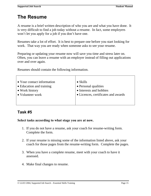# <span id="page-16-0"></span>**The Resume**

A resume is a brief written description of who you are and what you have done. It is very difficult to find a job today without a resume. In fact, some employers won't let you apply for a job if you don't have one.

Resumes take a lot of effort. It is best to prepare one before you start looking for work. That way you are ready when someone asks to see your resume.

Preparing or updating your resume now will save you time and stress later on. Often, you can leave a resume with an employer instead of filling out applications over and over again.

Resumes should contain the following information.

| • Your contact information | $\bullet$ Skills                    |
|----------------------------|-------------------------------------|
| • Education and training   | • Personal qualities                |
| • Work history             | • Interests and hobbies             |
| • Volunteer work           | • Licences, certificates and awards |
|                            |                                     |
|                            |                                     |

## **Task #5**

#### **Select tasks according to what stage you are at now.**

- 1. If you do not have a resume, ask your coach for resume-writing form. Complete the form.
- 2. If your resume is missing some of the information listed above, ask your coach for those pages from the resume-writing form. Complete the pages.
- 3. When you have a complete resume, meet with your coach to have it assessed.
- 4. Make final changes to resume.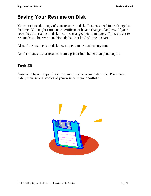# **Saving Your Resume on Disk**

Your coach needs a copy of your resume on disk. Resumes need to be changed all the time. You might earn a new certificate or have a change of address. If your coach has the resume on disk, it can be changed within minutes. If not, the entire resume has to be rewritten. Nobody has that kind of time to spare.

Also, if the resume is on disk new copies can be made at any time.

Another bonus is that resumes from a printer look better than photocopies.

### **Task #6**

Arrange to have a copy of your resume saved on a computer disk. Print it out. Safely store several copies of your resume in your portfolio.

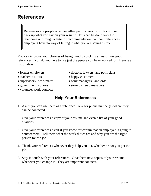# <span id="page-18-0"></span>**References**

References are people who can either put in a good word for you or back up what you say on your resume. This can be done over the telephone or through a letter of recommendation. Without references, employers have no way of telling if what you are saying is true.

You can improve your chances of being hired by picking at least three good references. You do not have to use just the people you have worked for. Here is a list of ideas:

- 
- teachers / tutors happy customers
- 
- 
- volunteer work contacts
- former employers doctors, lawyers, and politicians
	-
- supervisors / workmates bank managers, landlords
- government workers store owners / managers

## **Help Your References**

- 1. Ask if you can use them as a reference. Ask for phone number(s) where they can be contacted.
- 2. Give your references a copy of your resume and even a list of your good qualities.
- 3. Give your references a call if you know for certain that an employer is going to contact them. Tell them what the work duties are and why you are the right person for the job.
- 4. Thank your references whenever they help you out, whether or not you get the job.
- 5. Stay in touch with your references. Give them new copies of your resume whenever you change it. They are important contacts.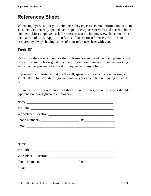## **References Sheet**

When employers ask for your references they expect accurate information on them. This includes correctly spelled names, job titles, places of work and current phone numbers. Most employers ask for references at the job interview, but some want them ahead of time. Application forms often ask for references. It is best to be prepared by always having copies of your reference sheet with you.

## **Task #7**

Call your references and update their information and send them an updated copy of your resume. This is good practice for your communications and networking skills. While you are talking, ask if they know of any jobs.

If you are uncomfortable making the call, speak to your coach about writing a script. If the first call didn't go well, talk to your coach before making the next call.

Fill in the following reference fact sheet. Like resumes, reference sheets should be typed before being given to employers.

| Name: Name and the set of the set of the set of the set of the set of the set of the set of the set of the set of the set of the set of the set of the set of the set of the set of the set of the set of the set of the set o       |  |
|--------------------------------------------------------------------------------------------------------------------------------------------------------------------------------------------------------------------------------------|--|
| Job Title:                                                                                                                                                                                                                           |  |
|                                                                                                                                                                                                                                      |  |
|                                                                                                                                                                                                                                      |  |
|                                                                                                                                                                                                                                      |  |
|                                                                                                                                                                                                                                      |  |
|                                                                                                                                                                                                                                      |  |
|                                                                                                                                                                                                                                      |  |
|                                                                                                                                                                                                                                      |  |
|                                                                                                                                                                                                                                      |  |
|                                                                                                                                                                                                                                      |  |
| Email: <u>Alexander Alexander and Alexander and Alexander and Alexander and Alexander and Alexander and Alexander and Alexander and Alexander and Alexander and Alexander and Alexander and Alexander and Alexander and Alexande</u> |  |
|                                                                                                                                                                                                                                      |  |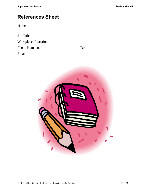## **References Sheet**

| Phone Numbers: New York 1988 |  |
|------------------------------|--|
|                              |  |

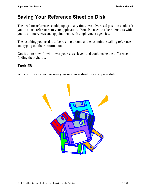# **Saving Your Reference Sheet on Disk**

The need for references could pop up at any time. An advertised position could ask you to attach references to your application. You also need to take references with you to all interviews and appointments with employment agencies.

The last thing you need is to be rushing around at the last minute calling references and typing out their information.

**Get it done now**. It will lower your stress levels and could make the difference in finding the right job.

## **Task #8**

Work with your coach to save your reference sheet on a computer disk.

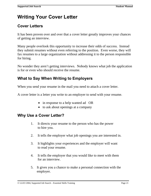# <span id="page-22-0"></span>**Writing Your Cover Letter**

## **Cover Letters**

It has been proven over and over that a cover letter greatly improves your chances of getting an interview.

Many people overlook this opportunity to increase their odds of success. Instead they submit resumes without even referring to the position. Even worse, they will fax resumes to a large organization without addressing it to the person responsible for hiring.

No wonder they aren't getting interviews. Nobody knows what job the application is for or even who should receive the resume.

## **What to Say When Writing to Employers**

When you send your resume in the mail you need to attach a cover letter.

A cover letter is a letter you write to an employer to send with your resume.

- in response to a help wanted ad OR
- to ask about openings at a company

## **Why Use a Cover Letter?**

- 1. It directs your resume to the person who has the power to hire you.
- 2. It tells the employer what job openings you are interested in.
- 3. It highlights your experiences and the employer will want to read your resume.
- 4. It tells the employer that you would like to meet with them for an interview.
- 5. It gives you a chance to make a personal connection with the employer.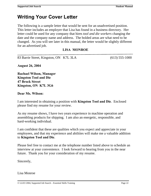## **Writing Your Cover Letter**

The following is a sample letter that would be sent for an unadvertised position. This letter includes an employer that Lisa has found in a business directory. Her letter could be used for any company that hires *tool and die workers* changing the date and the company name and address. The bolded areas are what need to be changed. As you will see later in this manual, the letter would be slightly different for an advertised job.

#### **LISA MONROE**

83 Barrie Street, Kingston, ON K7L 3LA (613) 555-1000

**August 26, 2004** 

**Rachael Wilson, Manager Kingston Tool and Die 47 Brock Street Kingston, ON K7L 3G6** 

#### **Dear Ms. Wilson:**

I am interested in obtaining a position with **Kingston Tool and Die**. Enclosed please find my resume for your review.

As my resume shows, I have two years experience in machine operation and assembling products for shipping. I am also an energetic, responsible, and hard-working individual.

I am confident that these are qualities which you expect and appreciate in your employees, and that my experience and abilities will make me a valuable addition to **Kingston Tool and Die**.

Please feel free to contact me at the telephone number listed above to schedule an interview at your convenience. I look forward to hearing from you in the near future. Thank you for your consideration of my resume.

Sincerely,

Lisa Monroe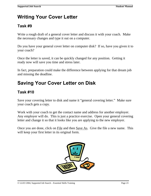# **Writing Your Cover Letter**

## **Task #9**

Write a rough draft of a general cover letter and discuss it with your coach. Make the necessary changes and type it out on a computer.

Do you have your general cover letter on computer disk? If so, have you given it to your coach?

Once the letter is saved, it can be quickly changed for any position. Getting it ready now will save you time and stress later.

In fact, preparation could make the difference between applying for that dream job and missing the deadline.

# **Saving Your Cover Letter on Disk**

## **Task #10**

Save your covering letter to disk and name it "general covering letter." Make sure your coach gets a copy.

Work with your coach to get the contact name and address for another employer. Any employer will do. This is just a practice exercise. Open your general covering letter and change it so that it looks like you are applying to the new employer.

Once you are done, click on File and then Save As. Give the file a new name. This will keep your first letter in its original form.

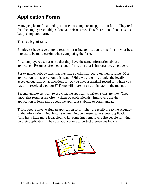<span id="page-25-0"></span>Many people are frustrated by the need to complete an application form. They feel that the employer should just look at their resume. This frustration often leads to a badly completed form.

This is a big mistake.

Employers have several good reasons for using application forms. It is in your best interest to be more careful when completing the form.

First, employers use forms so that they have the same information about all applicants. Resumes often leave out information that is important to employers.

For example, nobody says that they have a criminal record on their resume. Most application forms ask about this issue. While we are on that topic, the legally accepted question on applications is "do you have a criminal record for which you have not received a pardon?" There will more on this topic later in the manual.

Second, employers want to see what the applicant's written skills are like. They know that resumes are often written by professionals. Employers use the application to learn more about the applicant's ability to communicate.

Third, people have to sign an application form. They are testifying to the accuracy of the information. People can say anything on a resume. A signed application form has a little more legal clout to it. Sometimes employers fire people for lying on their application. They use applications to protect themselves legally.

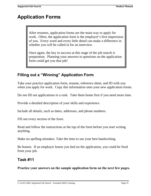After resumes, application forms are the main way to apply for work. Often, the application form is the employer's first impression of you. Every word and every little detail can make a difference in whether you will be called in for an interview.

Once again, the key to success at this stage of the job search is preparation. Planning your answers to questions on the application form could get you that job!

## **Filling out a "Winning" Application Form**

Take your practice application form, resume, reference sheet, and ID with you when you apply for work. Copy this information onto your new application forms.

Do not fill out applications in a rush. Take them home first if you need more time.

Provide a detailed description of your skills and experience.

Include all details, such as dates, addresses, and phone numbers.

Fill out every section of the form.

Read and follow the instructions at the top of the form before you start writing anything.

Make no spelling mistakes. Take the time to use your best handwriting.

Be honest. If an employer learns you lied on the application, you could be fired from your job.

## **Task #11**

**Practice your answers on the sample application form on the next few pages.**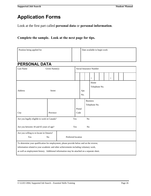Look at the first part called **personal data** or **personal information**.

#### **Complete the sample. Look at the next page for tips.**

| Position being applied for                                                                 |               |                    |                         |      | Date available to begin work |                 |               |               |  |  |  |  |  |
|--------------------------------------------------------------------------------------------|---------------|--------------------|-------------------------|------|------------------------------|-----------------|---------------|---------------|--|--|--|--|--|
|                                                                                            |               |                    |                         |      |                              |                 |               |               |  |  |  |  |  |
| <b>PERSONAL DATA</b>                                                                       |               |                    |                         |      |                              |                 |               |               |  |  |  |  |  |
| Last Name                                                                                  | Given Name(s) |                    | Social Insurance Number |      |                              |                 |               |               |  |  |  |  |  |
|                                                                                            |               |                    |                         |      |                              | L,              |               |               |  |  |  |  |  |
|                                                                                            |               |                    |                         |      |                              | Home            |               |               |  |  |  |  |  |
|                                                                                            |               |                    |                         |      |                              |                 |               | Telephone No. |  |  |  |  |  |
| Address                                                                                    | <b>Street</b> |                    |                         | Apt. |                              |                 |               |               |  |  |  |  |  |
|                                                                                            |               |                    |                         | No.  |                              |                 |               |               |  |  |  |  |  |
|                                                                                            |               |                    |                         |      |                              | <b>Business</b> |               |               |  |  |  |  |  |
|                                                                                            |               |                    |                         |      |                              |                 | Telephone No. |               |  |  |  |  |  |
|                                                                                            |               |                    | Postal                  |      |                              |                 |               |               |  |  |  |  |  |
| City                                                                                       | Province      |                    | Code                    |      |                              |                 |               |               |  |  |  |  |  |
| Are you legally eligible to work in Canada?                                                |               | Yes                |                         |      | No                           |                 |               |               |  |  |  |  |  |
|                                                                                            |               |                    |                         |      |                              |                 |               |               |  |  |  |  |  |
| Are you between 18 and 65 years of age?                                                    |               | Yes                |                         |      | No                           |                 |               |               |  |  |  |  |  |
| Are you willing to re-locate in Ontario?                                                   |               |                    |                         |      |                              |                 |               |               |  |  |  |  |  |
| Yes                                                                                        | No            | Preferred location |                         |      |                              |                 |               |               |  |  |  |  |  |
| To determine your qualification for employment, please provide below and on the reverse,   |               |                    |                         |      |                              |                 |               |               |  |  |  |  |  |
| information related to your academic and other achievements including voluntary work,      |               |                    |                         |      |                              |                 |               |               |  |  |  |  |  |
| as well as employment history. Additional information may be attached on a separate sheet. |               |                    |                         |      |                              |                 |               |               |  |  |  |  |  |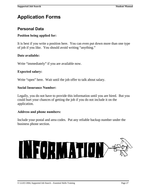## **Personal Data**

#### **Position being applied for:**

It is best if you write a position here. You can even put down more than one type of job if you like. You should avoid writing "anything."

#### **Date available:**

Write "immediately" if you are available now.

#### **Expected salary:**

Write "open" here. Wait until the job offer to talk about salary.

#### **Social Insurance Number:**

Legally, you do not have to provide this information until you are hired. But you could hurt your chances of getting the job if you do not include it on the application.

#### **Address and phone numbers:**

Include your postal and area codes. Put any reliable backup number under the business phone section.

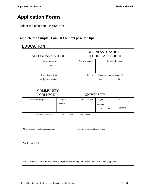Look at the next part - **Education**.

## **Complete the sample. Look at the next page for tips.**

## **EDUCATION**

| SECONDARY SCHOOL                                                                                                |                                                                                               |                | <b>BUSINESS, TRADE OR</b><br><b>TECHNICAL SCHOOL</b> |                          |    |                  |  |
|-----------------------------------------------------------------------------------------------------------------|-----------------------------------------------------------------------------------------------|----------------|------------------------------------------------------|--------------------------|----|------------------|--|
| Highest grade or<br>level completed                                                                             |                                                                                               |                | Name of course                                       |                          |    | Length of course |  |
|                                                                                                                 | Type of certificate<br>License, certificate or diploma awarded?<br>or diploma received<br>Yes |                |                                                      | N <sub>0</sub>           |    |                  |  |
| <b>COLLEGE</b>                                                                                                  | <b>COMMUNITY</b>                                                                              |                |                                                      | <b>UNIVERSITY</b>        |    |                  |  |
| Name of Program                                                                                                 | Length of<br>Program                                                                          |                | Length of course                                     | Degree<br>awarded<br>Yes | No | Pass<br>Honours  |  |
| Diploma received?                                                                                               | Yes                                                                                           | N <sub>o</sub> | Major subject                                        |                          |    |                  |  |
| Other courses, workshops, seminars                                                                              | Licenses, Certificates, Degrees                                                               |                |                                                      |                          |    |                  |  |
| Work related skills                                                                                             |                                                                                               |                |                                                      |                          |    |                  |  |
| Describe any of your work related skills, experience or training that relate to the position being applied for. |                                                                                               |                |                                                      |                          |    |                  |  |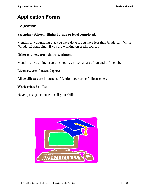## **Education**

#### **Secondary School: Highest grade or level completed:**

Mention any upgrading that you have done if you have less than Grade 12. Write "Grade 12 upgrading" if you are working on credit courses.

#### **Other courses, workshops, seminars:**

Mention any training programs you have been a part of, on and off the job.

#### **Licenses, certificates, degrees:**

All certificates are important. Mention your driver's license here.

#### **Work related skills:**

Never pass up a chance to sell your skills.

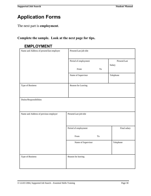The next part is **employment**.

## **Complete the sample. Look at the next page for tips.**

## **EMPLOYMENT**

| Name and Address of present/last employer | Present/Last job title      |              |  |  |  |
|-------------------------------------------|-----------------------------|--------------|--|--|--|
|                                           | Period of employment        | Present/Last |  |  |  |
|                                           |                             | Salary       |  |  |  |
|                                           | From<br>$\operatorname{To}$ |              |  |  |  |
|                                           | Name of Supervisor          | Telephone    |  |  |  |
| Type of Business                          | Reason for Leaving          |              |  |  |  |
| Duties/Responsibilities                   |                             |              |  |  |  |
| Name and Address of previous employer     | Present/Last job title      |              |  |  |  |
|                                           | Period of employment        | Final salary |  |  |  |
|                                           | From<br>To                  |              |  |  |  |
|                                           | Name of Supervisor          | Telephone    |  |  |  |
| Type of Business                          | Reason for leaving          |              |  |  |  |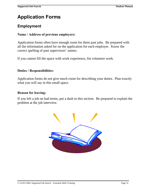## **Employment**

#### **Name / Address of previous employers:**

Application forms often have enough room for three past jobs. Be prepared with all the information asked for on the application for each employer. Know the correct spelling of past supervisors' names.

If you cannot fill the space with work experience, list volunteer work.

#### **Duties / Responsibilities:**

Application forms do not give much room for describing your duties. Plan exactly what you will say in this small space.

#### **Reason for leaving:**

If you left a job on bad terms, put a dash in this section. Be prepared to explain the problem at the job interview.

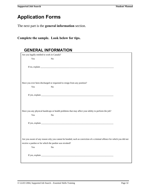The next part is the **general information** section.

**Complete the sample. Look below for tips.**

|     | Are you legally entitled to work in Canada?                                                                           |  |
|-----|-----------------------------------------------------------------------------------------------------------------------|--|
| Yes | N <sub>o</sub>                                                                                                        |  |
|     |                                                                                                                       |  |
|     | Have you ever been discharged or requested to resign from any position?                                               |  |
| Yes | N <sub>o</sub>                                                                                                        |  |
|     |                                                                                                                       |  |
|     |                                                                                                                       |  |
| Yes | Have you any physical handicaps or health problems that may affect your ability to perform the job?<br>N <sub>o</sub> |  |
|     |                                                                                                                       |  |
|     |                                                                                                                       |  |
|     | Are you aware of any reason why you cannot be bonded, such as conviction of a criminal offence for which you did not  |  |
|     | receive a pardon or for which the pardon was revoked?                                                                 |  |
| Yes | N <sub>o</sub>                                                                                                        |  |
|     |                                                                                                                       |  |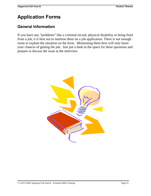## **General Information**

If you have any "problems" like a criminal record, physical disability or being fired from a job, it is best not to mention them on a job application. There is not enough room to explain the situation on the form. Mentioning them here will only harm your chances of getting the job. Just put a dash in the space for these questions and prepare to discuss the issue at the interview.

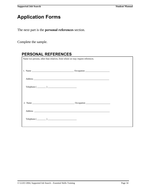The next part is the **personal references** section.

Complete the sample.

| Name two persons, other than relatives, from whom we may request references.                                                                                                                                                                                                                                                                                                                                                       |  |  |  |
|------------------------------------------------------------------------------------------------------------------------------------------------------------------------------------------------------------------------------------------------------------------------------------------------------------------------------------------------------------------------------------------------------------------------------------|--|--|--|
|                                                                                                                                                                                                                                                                                                                                                                                                                                    |  |  |  |
|                                                                                                                                                                                                                                                                                                                                                                                                                                    |  |  |  |
| $\text{Telephone} \left( \begin{array}{ccc} \text{1} & \text{1} & \text{1} & \text{1} & \text{1} & \text{1} & \text{1} & \text{1} & \text{1} & \text{1} & \text{1} & \text{1} & \text{1} & \text{1} & \text{1} & \text{1} & \text{1} & \text{1} & \text{1} & \text{1} & \text{1} & \text{1} & \text{1} & \text{1} & \text{1} & \text{1} & \text{1} & \text{1} & \text{1} & \text{1} & \text{1} & \text{1} & \text{1} & \text{1} &$ |  |  |  |
|                                                                                                                                                                                                                                                                                                                                                                                                                                    |  |  |  |
|                                                                                                                                                                                                                                                                                                                                                                                                                                    |  |  |  |
| $\text{Telephone } (\_\_ \_\_ \_\_ \_\_$                                                                                                                                                                                                                                                                                                                                                                                           |  |  |  |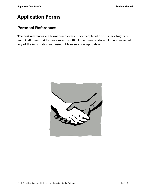### **Personal References**

The best references are former employers. Pick people who will speak highly of you. Call them first to make sure it is OK. Do not use relatives. Do not leave out any of the information requested. Make sure it is up to date.

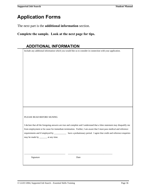The next part is the **additional information** section.

**Complete the sample. Look at the next page for tips.**

Include any additional information which you would like us to consider in connection with your application.

#### PLEASE READ BEFORE SIGNING

I declare that all the foregoing answers are true and complete and I understand that a false statement may disqualify me from employment or be cause for immediate termination. Further, I am aware that I must pass medical and reference requirements and if employed by \_\_\_\_\_\_\_\_\_\_\_ have a probationary period. I agree that credit and reference enquiries may be made by \_\_\_\_\_\_\_ at any time.

Signature Date

\_\_\_\_\_\_\_\_\_\_\_\_\_\_\_\_\_\_\_\_\_\_\_\_\_\_\_\_\_\_\_\_\_\_\_\_\_ \_\_\_\_\_\_\_\_\_\_\_\_\_\_\_\_\_\_\_\_\_\_\_\_\_\_\_\_\_\_\_\_\_\_\_\_\_\_\_\_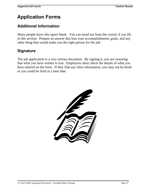## **Additional Information**

Many people leave this space blank. You can stand out from the crowd, if you fill in this section. Prepare an answer that lists your accomplishments, goals, and any other thing that would make you the right person for the job.

### **Signature**

The job application is a very serious document. By signing it, you are swearing that what you have written is true. Employers often check the details of what you have entered on the form. If they find any false information, you may not be hired or you could be fired at a later date.

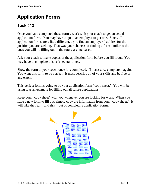## **Task #12**

Once you have completed these forms, work with your coach to get an actual application form. You may have to go to an employer to get one. Since, all application forms are a little different, try to find an employer that hires for the position you are seeking. That way your chances of finding a form similar to the ones you will be filling out in the future are increased.

Ask your coach to make copies of the application form before you fill it out. You may have to complete this task several times.

Show the form to your coach once it is completed. If necessary, complete it again. You want this form to be perfect. It must describe all of your skills and be free of any errors.

This perfect form is going to be your application form "copy sheet." You will be using it as an example for filling out all future applications.

Keep your "copy sheet" with you whenever you are looking for work. When you have a new form to fill out, simply copy the information from your "copy sheet." It will take the fear – and risk – out of completing application forms.

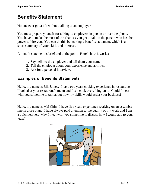## **Benefits Statement**

No one ever got a job without talking to an employer.

You must prepare yourself for talking to employers in person or over the phone. You have to make the most of the chances you get to talk to the person who has the power to hire you. You can do this by making a benefits statement, which is a short summary of your skills and interests.

A benefit statement is brief and to the point. Here's how it works:

- 1. Say hello to the employer and tell them your name.
- 2. Tell the employer about your experience and abilities.
- 3. Ask for a personal interview.

### **Examples of Benefits Statements**

Hello, my name is Bill James. I have two years cooking experience in restaurants. I looked at your restaurant's menu and I can cook everything on it. Could I meet with you sometime to talk about how my skills would assist your business?

Hello, my name is Mai Chin. I have five years experience working on an assembly line in a tire plant. I have always paid attention to the quality of my work and I am a quick learner. May I meet with you sometime to discuss how I would add to your team?

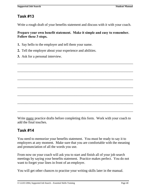### **Task #13**

Write a rough draft of your benefits statement and discuss with it with your coach.

**Prepare your own benefit statement. Make it simple and easy to remember. Follow these 3 steps.**

\_\_\_\_\_\_\_\_\_\_\_\_\_\_\_\_\_\_\_\_\_\_\_\_\_\_\_\_\_\_\_\_\_\_\_\_\_\_\_\_\_\_\_\_\_\_\_\_\_\_\_\_\_\_\_\_\_\_\_\_\_\_\_\_\_\_\_

\_\_\_\_\_\_\_\_\_\_\_\_\_\_\_\_\_\_\_\_\_\_\_\_\_\_\_\_\_\_\_\_\_\_\_\_\_\_\_\_\_\_\_\_\_\_\_\_\_\_\_\_\_\_\_\_\_\_\_\_\_\_\_\_\_\_\_

\_\_\_\_\_\_\_\_\_\_\_\_\_\_\_\_\_\_\_\_\_\_\_\_\_\_\_\_\_\_\_\_\_\_\_\_\_\_\_\_\_\_\_\_\_\_\_\_\_\_\_\_\_\_\_\_\_\_\_\_\_\_\_\_\_\_\_

\_\_\_\_\_\_\_\_\_\_\_\_\_\_\_\_\_\_\_\_\_\_\_\_\_\_\_\_\_\_\_\_\_\_\_\_\_\_\_\_\_\_\_\_\_\_\_\_\_\_\_\_\_\_\_\_\_\_\_\_\_\_\_\_\_\_\_

 $\overline{\phantom{a}}$  , and the contribution of the contribution of the contribution of the contribution of the contribution of  $\overline{\phantom{a}}$ 

\_\_\_\_\_\_\_\_\_\_\_\_\_\_\_\_\_\_\_\_\_\_\_\_\_\_\_\_\_\_\_\_\_\_\_\_\_\_\_\_\_\_\_\_\_\_\_\_\_\_\_\_\_\_\_\_\_\_\_\_\_\_\_\_\_\_\_

\_\_\_\_\_\_\_\_\_\_\_\_\_\_\_\_\_\_\_\_\_\_\_\_\_\_\_\_\_\_\_\_\_\_\_\_\_\_\_\_\_\_\_\_\_\_\_\_\_\_\_\_\_\_\_\_\_\_\_\_\_\_\_\_\_\_\_

- **1.** Say hello to the employer and tell them your name.
- **2.** Tell the employer about your experience and abilities.
- **3.** Ask for a personal interview.

Write many practice drafts before completing this form. Work with your coach to add the final touches.

### **Task #14**

You need to memorize your benefits statement. You must be ready to say it to employers at any moment. Make sure that you are comfortable with the meaning and pronunciation of all the words you use.

From now on your coach will ask you to start and finish all of your job search meetings by saying your benefits statement. Practice makes perfect. You do not want to forget your lines in front of an employer.

You will get other chances to practise your writing skills later in the manual.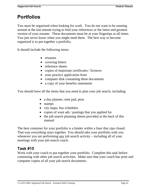# **Portfolios**

You must be organized when looking for work. You do not want to be running around at the last minute trying to find your references or the latest and greatest version of your resume. These documents must be at your fingertips at all times. You just never know when you might need them. The best way to become organized is to put together a portfolio.

It should include the following items:

- resumes
- covering letters
- reference sheets
- copies of important certificates / licences
- your practice application form
- computer disk containing these documents
- a copy of your benefits statements

You should have all the items that you need to plan your job search, including:

- a day planner, note pad, pens
- stamps
- city maps, bus schedules
- copies of want ads / postings that you applied for
- the job search planning sheets provided at the back of this manual

The best container for your portfolio is a binder within a liner that zips closed. That way everything stays together. You should take your portfolio with you whenever you are performing any job search activity – including all of your meetings with your job search coach.

### **Task #15**

Work with your coach to put together your portfolio. Complete this task before continuing with other job search activities. Make sure that your coach has print and computer copies of all your job search documents.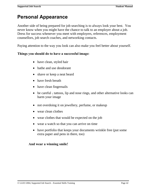# **Personal Appearance**

Another side of being prepared for job searching is to always look your best. You never know when you might have the chance to talk to an employer about a job. Dress for success whenever you meet with employers, references, employment counsellors, job search coaches, and networking contacts.

Paying attention to the way you look can also make you feel better about yourself.

#### **Things you should do to have a successful image:**

- have clean, styled hair
- bathe and use deodorant
- shave or keep a neat beard
- have fresh breath
- have clean fingernails
- be careful tattoos, lip and nose rings, and other alternative looks can harm your image
- not overdoing it on jewellery, perfume, or makeup
- wear clean clothes
- wear clothes that would be expected on the job
- wear a watch so that you can arrive on time
- have portfolio that keeps your documents wrinkle free (put some extra paper and pens in there, too)

#### **And wear a winning smile!**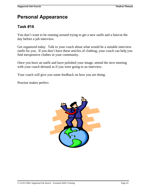# **Personal Appearance**

## **Task #16**

You don't want to be running around trying to get a new outfit and a haircut the day before a job interview.

Get organized today. Talk to your coach about what would be a suitable interview outfit for you. If you don't have these articles of clothing, your coach can help you find inexpensive clothes in your community.

Once you have an outfit and have polished your image, attend the next meeting with your coach dressed as if you were going to an interview.

Your coach will give you some feedback on how you are doing.

Practise makes perfect.

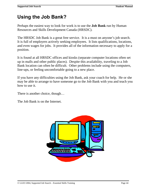# **Using the Job Bank?**

Perhaps the easiest way to look for work is to use the **Job Bank** run by Human Resources and Skills Development Canada (HRSDC).

The HRSDC Job Bank is a great free service. It is a must on anyone's job search. It is full of employers actively seeking employees. It lists qualifications, locations, and even wages for jobs. It provides all of the information necessary to apply for a position.

It is found at all HRSDC offices and kiosks (separate computer locations often set up in malls and other public places). Despite this availability, traveling to a Job Bank location can often be difficult. Other problems include using the computers, line-ups, or feeling uncomfortable going to a new place.

If you have any difficulties using the Job Bank, ask your coach for help. He or she may be able to arrange to have someone go to the Job Bank with you and teach you how to use it.

There is another choice, though…

The Job Bank is on the Internet.

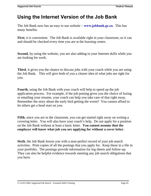## **Using the Internet Version of the Job Bank**

The Job Bank now has an easy to use website – **www.jobbank.gc.ca**. This has many benefits.

**First**, it is convenient. The Job Bank is available right in your classroom, so it can and should be checked every time you are at the learning centre.

**Second**, by using the website, you are also adding to your Internet skills while you are looking for work.

**Third**, it gives you the chance to discuss jobs with your coach while you are using the Job Bank. This will give both of you a clearer idea of what jobs are right for you.

**Fourth**, using the Job Bank with your coach will help to speed up the job application process. For example, if the job posting gives you the choice of faxing or emailing your resume, your coach can help you take care of that right away. Remember the story about the early bird getting the worm? You cannot afford to let others get a head start on you.

**Fifth**, since you are in the classroom, you can get started right away on writing a covering letter. You will also have your coach's help. Do not apply for a position on the Job Bank without at least a basic letter. **You cannot assume that the employer will know what job you are applying for without a cover letter**.

**Sixth**, the Job Bank leaves you with a near-perfect record of your job search activities. Print copies of all the postings that you apply for. Keep these in a file in your portfolio. The postings provide information for log sheets and follow-up. They can also be helpful evidence towards meeting any job search obligations that you have.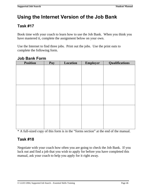# **Using the Internet Version of the Job Bank**

## **Task #17**

Book time with your coach to learn how to use the Job Bank. When you think you have mastered it, complete the assignment below on your own.

Use the Internet to find three jobs. Print out the jobs. Use the print outs to complete the following form.

| Position | Pay | Location | Employer | Qualifications |
|----------|-----|----------|----------|----------------|
|          |     |          |          |                |
|          |     |          |          |                |
|          |     |          |          |                |
|          |     |          |          |                |
|          |     |          |          |                |
|          |     |          |          |                |
|          |     |          |          |                |
|          |     |          |          |                |
|          |     |          |          |                |
|          |     |          |          |                |
|          |     |          |          |                |
|          |     |          |          |                |
|          |     |          |          |                |
|          |     |          |          |                |
|          |     |          |          |                |

### **Job Bank Form**

\* A full-sized copy of this form is in the "forms section" at the end of the manual.

### **Task #18**

Negotiate with your coach how often you are going to check the Job Bank. If you luck out and find a job that you wish to apply for before you have completed this manual, ask your coach to help you apply for it right away.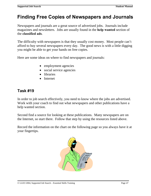## **Finding Free Copies of Newspapers and Journals**

Newspapers and journals are a great source of advertised jobs. Journals include magazines and newsletters. Jobs are usually found in the **help wanted** section of the **classified ads**.

The difficulty with newspapers is that they usually cost money. Most people can't afford to buy several newspapers every day. The good news is with a little digging you might be able to get your hands on free copies.

Here are some ideas on where to find newspapers and journals:

- employment agencies
- social service agencies
- libraries
- Internet

### **Task #19**

In order to job search effectively, you need to know where the jobs are advertised. Work with your coach to find out what newspapers and other publications have a help wanted section.

Second find a source for looking at these publications. Many newspapers are on the Internet, so start there. Follow that step by using the resources listed above.

Record the information on the chart on the following page so you always have it at your fingertips.

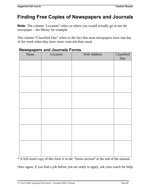# **Finding Free Copies of Newspapers and Journals**

**Note:** The column "Location" refers to where you would actually go to see the newspaper – the library for example.

The column "Classified Day" refers to the fact that most newspapers have one day of the week when they have more want ads than usual.

| Name | Location | Web Address | Classified |
|------|----------|-------------|------------|
|      |          |             | Day        |
|      |          |             |            |
|      |          |             |            |
|      |          |             |            |
|      |          |             |            |
|      |          |             |            |
|      |          |             |            |
|      |          |             |            |
|      |          |             |            |
|      |          |             |            |
|      |          |             |            |
|      |          |             |            |
|      |          |             |            |

### **Newspapers and Journals Forms**

\* A full-sized copy of this form is in the "forms section" at the end of the manual.

Once again, if you find a job before you are ready to apply, ask your coach for help.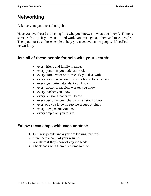## **Networking**

Ask everyone you meet about jobs

Have you ever heard the saying "it's who you know, not what you know". There is some truth to it. If you want to find work, you must get out there and meet people. Then you must ask those people to help you meet even more people. It's called networking.

### **Ask all of these people for help with your search:**

- every friend and family member
- every person in your address book
- every store owner or sales clerk you deal with
- every person who comes to your house to do repairs
- every gas station attendant you know
- every doctor or medical worker you know
- every teacher you know
- every religious leader you know
- every person in your church or religious group
- everyone you know in service groups or clubs
- every new person you meet
- every employer you talk to

### **Follow these steps with each contact:**

- 1. Let these people know you are looking for work.
- 2. Give them a copy of your resume.
- 3. Ask them if they know of any job leads.
- 4. Check back with them from time to time.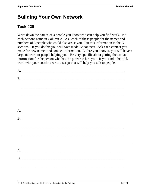## **Building Your Own Network**

## **Task #20**

Write down the names of 3 people you know who can help you find work. Put each persons name in Column A. Ask each of these people for the names and numbers of 3 people who could also assist you. Put this information in the B sections. If you do this you will have made 12 contacts. Ask each contact you make for new names and contact information. Before you know it, you will have a large network of people helping you. Be very specific about getting the contact information for the person who has the power to hire you. If you find it helpful, work with your coach to write a script that will help you talk to people.

| A.             |  |
|----------------|--|
| $\mathbf{B}$ . |  |
|                |  |
|                |  |
|                |  |
|                |  |
| $\mathbf{A}$ . |  |
| $\mathbf{B}$ . |  |
|                |  |
|                |  |
|                |  |
|                |  |
| A.             |  |
| $\mathbf{B}$ . |  |
|                |  |
|                |  |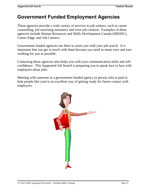## **Government Funded Employment Agencies**

These agencies provide a wide variety of services to job seekers, such as career counselling, job searching assistance and even job creation. Examples of these agencies include Human Resources and Skills Development Canada (HRSDC), Career Edge, and Job Connect.

Government funded agencies are there to assist you with your job search. It is important that you get in touch with them because you need as many eyes and ears working for you as possible.

Contacting these agencies also helps you with your communication skills and selfconfidence. This Supported Job Search is preparing you to speak face to face with employers about jobs.

Meeting with someone at a government-funded agency (a person who is paid to help people like you) is an excellent way of getting ready for future contact with employers.

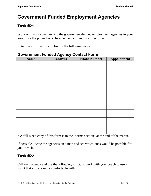# **Government Funded Employment Agencies**

## **Task #21**

Work with your coach to find the government-funded employment agencies in your area. Use the phone book, Internet, and community directories.

Enter the information you find in the following table.

| <b>Name</b> | <b>Address</b> | <b>Phone Number</b> | Appointment |
|-------------|----------------|---------------------|-------------|
|             |                |                     |             |
|             |                |                     |             |
|             |                |                     |             |
|             |                |                     |             |
|             |                |                     |             |
|             |                |                     |             |
|             |                |                     |             |
|             |                |                     |             |
|             |                |                     |             |

### **Government Funded Agency Contact Form**

\* A full-sized copy of this form is in the "forms section" at the end of the manual.

If possible, locate the agencies on a map and see which ones would be possible for you to visit.

### **Task #22**

Call each agency and use the following script, or work with your coach to use a script that you are more comfortable with.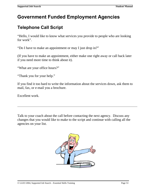# **Government Funded Employment Agencies**

## **Telephone Call Script**

"Hello, I would like to know what services you provide to people who are looking for work".

"Do I have to make an appointment or may I just drop in?"

(If you have to make an appointment, either make one right away or call back later if you need more time to think about it).

"What are your office hours?"

"Thank you for your help."

If you find it too hard to write the information about the services down, ask them to mail, fax, or e-mail you a brochure.

Excellent work.

Talk to your coach about the call before contacting the next agency. Discuss any changes that you would like to make to the script and continue with calling all the agencies on your list.

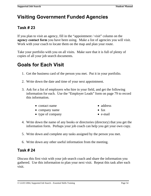# **Visiting Government Funded Agencies**

## **Task # 23**

If you plan to visit an agency, fill in the "appointment / visit" column on the **agency contact form** you have been using. Make a list of agencies you will visit. Work with your coach to locate them on the map and plan your route.

Take your portfolio with you on all visits. Make sure that it is full of plenty of copies of all your job search documents.

## **Goals for Each Visit**

- 1. Get the business card of the person you met. Put it in your portfolio.
- 2. Write down the date and time of your next appointment.
- 3. Ask for a list of employers who hire in your field, and get the following information for each. Use the "Employer Leads" form on page 79 to record this information.
	- contact name
	- company name
	- type of company
- address
- fax
- e-mail
- 4. Write down the name of any books or directories (directory) that you get the information form. Perhaps your job coach can help you get your own copy.
- 5. Write down and complete any tasks assigned by the person you met.
- 6. Write down any other useful information from the meeting.

### **Task # 24**

Discuss this first visit with your job search coach and share the information you gathered. Use this information to plan your next visit. Repeat this task after each visit.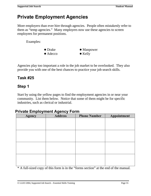## **Private Employment Agencies**

More employers than ever hire through agencies. People often mistakenly refer to them as "temp agencies." Many employers now use these agencies to screen employees for permanent positions.

Examples:



Agencies play too important a role in the job market to be overlooked. They also provide you with one of the best chances to practice your job search skills.

### **Task #25**

### **Step 1**

Start by using the yellow pages to find the employment agencies in or near your community. List them below. Notice that some of them might be for specific industries, such as clerical or industrial.

#### **Private Employment Agency Form**

| <b>Agency</b> | <b>Address</b> | <b>Phone Number</b> | Appointment |
|---------------|----------------|---------------------|-------------|
|               |                |                     |             |
|               |                |                     |             |
|               |                |                     |             |
|               |                |                     |             |
|               |                |                     |             |
|               |                |                     |             |
|               |                |                     |             |
|               |                |                     |             |
|               |                |                     |             |
|               |                |                     |             |
|               |                |                     |             |
|               |                |                     |             |

\* A full-sized copy of this form is in the "forms section" at the end of the manual.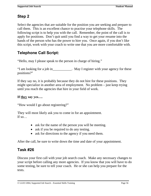## **Step 2**

Select the agencies that are suitable for the position you are seeking and prepare to call them. This is an excellent chance to practise your telephone skills. The following script is to help you with the call. Remember, the point of the call is to apply for positions. Don't quit until you find a way to get your resume into the hands of the person who has the power to hire you. Once again, if you don't like this script, work with your coach to write one that you are more comfortable with.

## **Telephone Call Script:**

"Hello, may I please speak to the person in charge of hiring."

"I am looking for a job in\_\_\_\_\_\_\_\_\_\_\_. May I register with your agency for these positions?"

If they say no, it is probably because they do not hire for these positions. They might specialize in another area of employment. No problem – just keep trying until you reach the agencies that hire in your field of work.

### **If they say yes….**

"How would I go about registering?"

They will most likely ask you to come in for an appointment. If  $so...$ 

- ask for the name of the person you will be meeting.
- ask if you be required to do any testing.
- ask for directions to the agency if you need them.

After the call, be sure to write down the time and date of your appointment.

### **Task #26**

Discuss your first call with your job search coach. Make any necessary changes to your script before calling any more agencies. If you know that you will have to do some testing, be sure to tell your coach. He or she can help you prepare for the tests.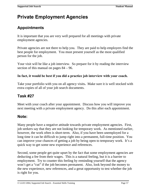# **Private Employment Agencies**

## **Appointments**

It is important that you are very well prepared for all meetings with private employment agencies.

Private agencies are not there to help you. They are paid to help employers find the best people for employment. You must present yourself as the most qualified person for the job.

Your visit will be like a job interview. So prepare for it by reading the interview section of this manual on pages 84 – 96.

#### **In fact, it would be best if you did a practice job interview with your coach.**

Take your portfolio with you on all agency visits**.** Make sure it is well stocked with extra copies of all of your job search documents.

### **Task #27**

Meet with your coach after your appointment. Discuss how you will improve you next meeting with a private employment agency. Do this after each appointment.

### **Note:**

Many people have a negative attitude towards private employment agencies. First, job seekers say that they are not looking for temporary work. As mentioned earlier, however, the work often is short-term. Also, if you have been unemployed for a long time it can be difficult to jump right into a permanent, full-time position. You can improve your chances of getting a job by being open to temporary work. It's a quick way to get some new experience and references.

Second, some people get quite upset by the fact that some employment agencies are deducting a fee from their wages. This is a natural feeling, but it is a barrier to employment. Try to counter this feeling by reminding yourself that the agency won't get a "cut" if the job becomes permanent. Also, look beyond the money to the new experience, new references, and a great opportunity to test whether the job is right for you.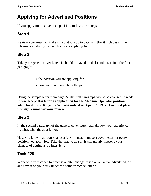## **Applying for Advertised Positions**

If you apply for an advertised position, follow these steps.

## **Step 1**

Review your resume. Make sure that it is up to date, and that it includes all the information relating to the job you are applying for.

## **Step 2**

Take your general cover letter (it should be saved on disk) and insert into the first paragraph:

- the position you are applying for
- how you found out about the job

Using the sample letter from page 22, the first paragraph would be changed to read: **Please accept this letter as application for the Machine Operator position advertised in the Kingston Whig-Standard on April 19, 1997. Enclosed please find my resume for your review.** 

### **Step 3**

In the second paragraph of the general cover letter, explain how your experience matches what the ad asks for.

Now you know that it only takes a few minutes to make a cover letter for every position you apply for. Take the time to do so. It will greatly improve your chances of getting a job interview.

## **Task #28**

Work with your coach to practise a letter change based on an actual advertised job and save it on your disk under the name "practice letter."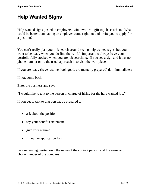# **Help Wanted Signs**

Help wanted signs posted in employers' windows are a gift to job searchers. What could be better than having an employer come right out and invite you to apply for a position?

You can't really plan your job search around seeing help wanted signs, but you want to be ready when you do find them. It's important to always have your portfolio fully stocked when you are job searching. If you see a sign and it has no phone number on it, the usual approach is to visit the workplace.

If you are ready (have resume, look good, are mentally prepared) do it immediately.

If not, come back.

#### Enter the business and say:

"I would like to talk to the person in charge of hiring for the help wanted job."

If you get to talk to that person, be prepared to:

- ask about the position
- say your benefits statement
- give your resume
- fill out an application form

Before leaving, write down the name of the contact person, and the name and phone number of the company.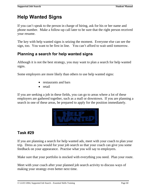# **Help Wanted Signs**

If you can't speak to the person in charge of hiring, ask for his or her name and phone number. Make a follow-up call later to be sure that the right person received your resume.

The key with help wanted signs is seizing the moment. Everyone else can see the sign, too. You want to be first in line. You can't afford to wait until tomorrow.

## **Planning a search for help wanted signs**

Although it is not the best strategy, you may want to plan a search for help wanted signs.

Some employers are more likely than others to use help wanted signs:

- restaurants and bars
- retail

If you are seeking a job in these fields, you can go to areas where a lot of these employers are gathered together, such as a mall or downtown. If you are planning a search in one of these areas, be prepared to apply for the position immediately.



## **Task #29**

If you are planning a search for help wanted ads, meet with your coach to plan your trip. Dress as you would for your job search so that your coach can give you some feedback on your appearance. Practise what you will say to employers.

Make sure that your portfolio is stocked with everything you need. Plan your route.

Meet with your coach after your planned job search activity to discuss ways of making your strategy even better next time.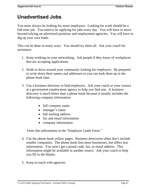# **Unadvertised Jobs**

You must always be looking for more employers. Looking for work should be a full-time job. You need to be applying for jobs every day. You will have to move beyond relying on advertised positions and employment agencies. You will have to dig up your own leads.

This can be done in many ways. You should try them all. Ask your coach for assistance.

- 1. Keep working on your networking. Ask people if they know of workplaces that are accepting applications.
- 2. Walk or drive around your community looking for employers. Be prepared to write down their names and addresses so you can look them up in the phone book later.
- 3. Use a business directory to find employers. Ask your coach or your contact at a government employment agency to help you find one. A business directory is much better than a phone book because it usually includes the following company information:
	- full company name
	- manager's name
	- full mailing address
	- fax and email information
	- company information

Enter this information in the "Employer Leads Form."

- 4. Use the phone book yellow pages. Business directories often don't include smaller companies. The phone book lists more businesses, but offers less information. You won't get a postal code, fax, or email address. This information might be available in another source. Ask your coach to help you fill in the blanks.
- 5. Keep in touch with agencies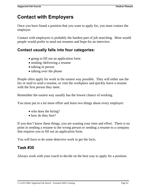## **Contact with Employers**

Once you have found a position that you want to apply for, you must contact the employer.

Contact with employers is probably the hardest part of job searching. Most would people would prefer to send out resumes and hope for an interview.

### **Contact usually falls into four categories:**

- going to fill out an application form
- sending /delivering a resume
- talking in person
- talking over the phone

People often apply for work in the easiest way possible. They will either use the fax or mail to send a resume, or visit the workplace and quickly leave a resume with the first person they meet.

Remember the easiest way usually has the lowest chance of working.

You must put in a lot more effort and learn two things about every employer:

- who does the hiring?
- how do they hire?

If you don't know these things, you are wasting your time and effort. There is no point in sending a resume to the wrong person or sending a resume to a company that requires you to fill out an application form.

You will have to do some detective work to get the facts.

### **Task #30**

Always work with your coach to decide on the best way to apply for a position.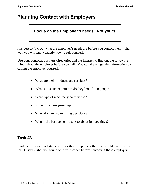# **Planning Contact with Employers**

## **Focus on the Employer's needs. Not yours.**

It is best to find out what the employer's needs are before you contact them. That way you will know exactly how to sell yourself.

Use your contacts, business directories and the Internet to find out the following things about the employer before you call. You could even get the information by calling the employer yourself.

- What are their products and services?
- What skills and experience do they look for in people?
- What type of machinery do they use?
- Is their business growing?
- When do they make hiring decisions?
- Who is the best person to talk to about job openings?

### **Task #31**

Find the information listed above for three employers that you would like to work for. Discuss what you found with your coach before contacting these employers.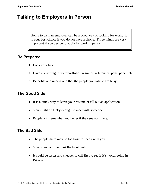# **Talking to Employers in Person**

Going to visit an employer can be a good way of looking for work. It is your best choice if you do not have a phone. Three things are very important if you decide to apply for work in person.

### **Be Prepared**

- **1.** Look your best.
- **2.** Have everything in your portfolio: resumes, references, pens, paper, etc.
- **3.** Be polite and understand that the people you talk to are busy.

### **The Good Side**

- It is a quick way to leave your resume or fill out an application.
- You might be lucky enough to meet with someone.
- People will remember you better if they see your face.

### **The Bad Side**

- The people there may be too busy to speak with you.
- You often can't get past the front desk.
- It could be faster and cheaper to call first to see if it's worth going in person.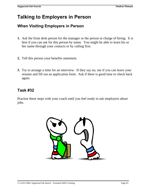# **Talking to Employers in Person**

### **When Visiting Employers in Person**

- **1.** Ask the front desk person for the manager or the person in charge of hiring. It is best if you can ask for this person by name. You might be able to learn his or her name through your contacts or by calling first.
- **2.** Tell this person your benefits statement.
- **3.** Try to arrange a time for an interview. If they say no, see if you can leave your resume and fill out an application form. Ask if there is good time to check back again.

### **Task #32**

Practise these steps with your coach until you feel ready to ask employers about jobs.

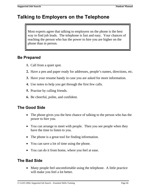Most experts agree that talking to employers on the phone is the best way to find job leads. The telephone is fast and easy. Your chances of reaching the person who has the power to hire you are higher on the phone than in person.

### **Be Prepared**

- **1.** Call from a quiet spot.
- **2.** Have a pen and paper ready for addresses, people's names, directions, etc.
- **3.** Have your resume handy in case you are asked for more information.
- **4.** Use notes to help you get through the first few calls. **5.** Practise by calling friends.
- 
- **6.** Be cheerful, polite, and confident.

## **The Good Side**

- The phone gives you the best chance of talking to the person who has the power to hire you.
- You can arrange to meet with people. Then you see people when they have the time to listen to you.
- The phone is a great tool for finding information.
- You can save a lot of time using the phone.
- You can do it from home, where you feel at ease.

## **The Bad Side**

• Many people feel uncomfortable using the telephone. A little practice will make you feel a lot better.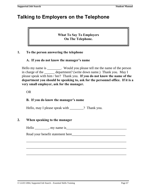#### **What To Say To Employers On The Telephone.**

#### **1. To the person answering the telephone**

#### **A. If you do not know the manager's name**

Hello my name is The Would you please tell me the name of the person in charge of the department? (write down name.) Thank you. May I please speak with him / her? Thank you. **If you do not know the name of the department you should be speaking to, ask for the personnel office. If it is a very small employer, ask for the manager.**

#### OR

#### **B. If you do know the manager's name**

Hello, may I please speak with \_\_\_\_\_\_\_\_? Thank you.

#### **2. When speaking to the manager**

 $\text{Hello} \_\_\_\_\_\_\_\_\_\_\_\_\_\_\_\_\_\_\_\_\_\_\_\_\_\_\_ \_\_$ 

\_\_\_\_\_\_\_\_\_\_\_\_\_\_\_\_\_\_\_\_\_\_\_\_\_\_\_\_\_\_\_\_\_\_\_\_\_\_\_\_\_\_\_\_\_\_\_\_\_\_\_\_\_\_\_\_\_\_

\_\_\_\_\_\_\_\_\_\_\_\_\_\_\_\_\_\_\_\_\_\_\_\_\_\_\_\_\_\_\_\_\_\_\_\_\_\_\_\_\_\_\_\_\_\_\_\_\_\_\_\_\_\_\_\_\_\_

\_\_\_\_\_\_\_\_\_\_\_\_\_\_\_\_\_\_\_\_\_\_\_\_\_\_\_\_\_\_\_\_\_\_\_\_\_\_\_\_\_\_\_\_\_\_\_\_\_\_\_\_\_\_\_\_\_\_

Read your benefit statement here\_\_\_\_\_\_\_\_\_\_\_\_\_\_\_\_\_\_\_\_\_\_\_\_\_\_\_\_\_\_\_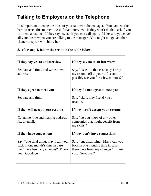It is important to make the most of your talk with the manager. You have worked hard to reach this moment. Ask for an interview. If they won't do that, ask if you can send a resume. If they say no, ask if you can call again. Make sure you cover all your bases when you are talking to the manager. You might not get another chance to speak with him / her.

#### **3. After step 2, follow the script in the table below.**

| If they say yes to an interview                                                                                                   | If they say no to an interview                                                                                                    |
|-----------------------------------------------------------------------------------------------------------------------------------|-----------------------------------------------------------------------------------------------------------------------------------|
| Set date and time, and write down<br>address.                                                                                     | Say, "I see. In that case may I drop<br>my resume off at your office and<br>possibly see you for a few minutes?"                  |
| If they agree to meet you                                                                                                         | If they do not agree to meet you                                                                                                  |
| Set date and time.                                                                                                                | Say, "okay, may I send you a<br>resume."                                                                                          |
| If they will accept your resume                                                                                                   | If they won't accept your resume                                                                                                  |
| Get name, title and mailing address,<br>fax or email.                                                                             | Say, "do you know of any other<br>companies that might benefit from<br>my skills."                                                |
| If they have suggestions                                                                                                          | If they don't have suggestions                                                                                                    |
| Say, "one final thing, may I call you<br>back in one month's time in case<br>their have been any changes? Thank<br>you. Goodbye." | Say, "one final thing. May I call you<br>back in one month's time in case<br>there have been any changes? Thank<br>you. Goodbye." |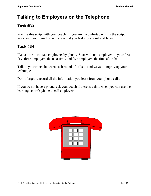## **Task #33**

Practise this script with your coach. If you are uncomfortable using the script, work with your coach to write one that you feel more comfortable with.

## **Task #34**

.

Plan a time to contact employers by phone. Start with one employer on your first day, three employers the next time, and five employers the time after that.

Talk to your coach between each round of calls to find ways of improving your technique.

Don't forget to record all the information you learn from your phone calls.

If you do not have a phone, ask your coach if there is a time when you can use the learning centre's phone to call employers

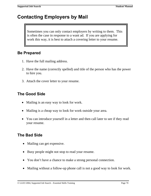# **Contacting Employers by Mail**

Sometimes you can only contact employers by writing to them. This is often the case in response to a want ad. If you are applying for work this way, it is best to attach a covering letter to your resume.

### **Be Prepared**

- 1. Have the full mailing address.
- 2. Have the name (correctly spelled) and title of the person who has the power to hire you.
- 3. Attach the cover letter to your resume.

### **The Good Side**

- Mailing is an easy way to look for work.
- Mailing is a cheap way to look for work outside your area.
- You can introduce yourself in a letter and then call later to see if they read your resume.

### **The Bad Side**

- Mailing can get expensive.
- Busy people might not stop to read your resume.
- You don't have a chance to make a strong personal connection.
- Mailing without a follow-up phone call is not a good way to look for work.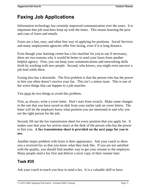# **Faxing Job Applications**

Information technology has certainly improved communication over the years. It is important that job searchers keep up with the times. This means learning the pros and cons of faxes and emails.

Faxes are a fast, easy, and often free way of applying for positions. Social Services and many employment agencies offer free faxing, even if it is long distance.

Even though your learning centre has a fax machine for you to use if necessary, there are two reasons why it would be better to send your faxes from another helpful agency. First, you can keep your communications and networking skills fresh by working with new people. Second, who knows, you might even uncover a job lead while there.

Faxing also has a downside. The first problem is that the person who has the power to hire you often doesn't receive your fax. This isn't a minor issue. This is one of the worst things that can happen to a job searcher.

You must do two things to avoid this problem.

First, as always, write a cover letter. Don't start from scratch. Make some changes to the one that you have saved on disk from your earlier task on cover letters. The letter will let the employer know what position you are interested in and why you are the right person for the job.

Second, fill out the fax transmission sheet for every position that you apply for. It makes sure that your fax arrives intact at the desk of the person who has the power to hire you. **A fax transmission sheet is provided on the next page for you to use**.

Another major problem with faxes is their appearance. Ask your coach to show you a received fax so that you know what they look like. If you are not satisfied with the quality, you should find another way to get your resume to the employer. Many people send a fax first and deliver a nicer copy of their resume later.

#### . **Task #35**

Ask your coach to teach you how to send a fax. It is a valuable skill to have.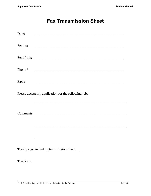# **Fax Transmission Sheet**

| Date:      |                                                     |
|------------|-----------------------------------------------------|
| Sent to:   |                                                     |
| Sent from: |                                                     |
| Phone #    |                                                     |
| Fax#       |                                                     |
|            | Please accept my application for the following job: |
|            |                                                     |
|            | Total pages, including transmission sheet: ______   |
| Thank you. |                                                     |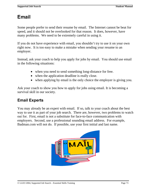# **Email**

Some people prefer to send their resume by email. The Internet cannot be beat for speed, and it should not be overlooked for that reason. It does, however, have many problems. We need to be extremely careful in using it.

If you do not have experience with email, you shouldn't try to use it on your own right now. It is too easy to make a mistake when sending your resume to an employer.

Instead, ask your coach to help you apply for jobs by email. You should use email in the following situations:

- when you need to send something long-distance for free.
- when the application deadline is really close.
- when applying by email is the only choice the employer is giving you.

Ask your coach to show you how to apply for jobs using email. It is becoming a survival skill in our society.

#### **Email Experts**

You may already be an expert with email. If so, talk to your coach about the best way to use it as part of your job search. There are, however, two problems to watch out for. First, email is not a substitute for face-to-face communication with employers. Second, use a professional sounding email address. For example, Badman.com will not do. If possible, use your first initial and last name.

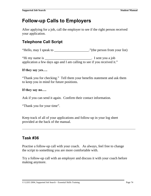# **Follow-up Calls to Employers**

After applying for a job, call the employer to see if the right person received your application.

# **Telephone Call Script**

"Hello, may I speak to \_\_\_\_\_\_\_\_\_\_\_\_\_\_\_\_\_\_\_\_."(the person from your list)

"Hi my name is \_\_\_\_\_\_\_\_\_\_\_\_\_\_\_\_\_\_\_\_\_\_\_\_\_\_\_\_\_\_. I sent you a job application a few days ago and I am calling to see if you received it."

#### **If they say yes….**

"Thank you for checking." Tell them your benefits statement and ask them to keep you in mind for future positions.

#### **If they say no….**

Ask if you can send it again. Confirm their contact information.

"Thank you for your time".

Keep track of all of your applications and follow-up in your log sheet provided at the back of the manual.

#### **Task #36**

Practise a follow-up call with your coach. As always, feel free to change the script to something you are more comfortable with.

Try a follow-up call with an employer and discuss it with your coach before making anymore.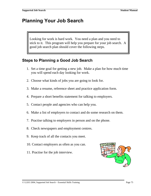# **Planning Your Job Search**

Looking for work is hard work. You need a plan and you need to stick to it. This program will help you prepare for your job search. A good job search plan should cover the following steps.

#### **Steps to Planning a Good Job Search**

- 1. Set a time goal for getting a new job. Make a plan for how much time you will spend each day looking for work.
- 2. Choose what kinds of jobs you are going to look for.
- 3. Make a resume, reference sheet and practice application form.
- 4. Prepare a short benefits statement for talking to employers.
- 5. Contact people and agencies who can help you.
- 6. Make a list of employers to contact and do some research on them.
- 7. Practise talking to employers in person and on the phone.
- 8. Check newspapers and employment centres.
- 9. Keep track of all the contacts you meet.
- 10. Contact employers as often as you can.
- 11. Practise for the job interview.

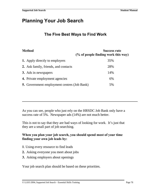# **Planning Your Job Search**

#### **The Five Best Ways to Find Work**

#### **Method Success rate (% of people finding work this way)**

| 1. Apply directly to employers                     | 35% |
|----------------------------------------------------|-----|
| 2. Ask family, friends, and contacts               | 28% |
| 3. Ads in newspapers                               | 14% |
| 4. Private employment agencies                     | 6%  |
| <b>5.</b> Government employment centres (Job Bank) | 5%  |

As you can see, people who just rely on the HRSDC Job Bank only have a success rate of 5%. Newspaper ads (14%) are not much better.

This is not to say that they are bad ways of looking for work. It's just that they are a small part of job searching.

#### **When you plan your job search, you should spend most of your time finding your own job leads by:**

- **1**. Using every resource to find leads
- **2.** Asking everyone you meet about jobs
- **3.** Asking employers about openings

Your job search plan should be based on these priorities.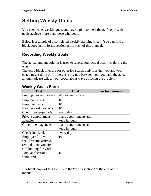# **Setting Weekly Goals**

You need to set weekly goals and have a plan to meet them. People with goals achieve more than those who don't.

Below is a sample of a completed weekly planning sheet. You can find a blank copy in the forms section at the back of this manual.

# **Recording Weekly Goals**

The actual amount column is used to record your actual activities during the week.

The extra blank lines are for other job search activities that you and your coach might think of. If there is a big gap between your goal and the actual amount, please talk to your coach about ways of fixing the problem.

| <b>Task</b>            | Goal                  | <b>Actual amount</b> |
|------------------------|-----------------------|----------------------|
| Finding new employers  | 20 new employers      |                      |
| <b>Employer visits</b> | 10                    |                      |
| <b>Employer calls</b>  | 10                    |                      |
| New network contacts   | 10                    |                      |
| Check newspaper ads    | every day             |                      |
| Private employment     | make appointments and |                      |
| agencies               | keep in touch         |                      |
| Government agencies    | make appointments and |                      |
|                        | keep in touch         |                      |
| <b>Check Job Bank</b>  | every day             |                      |
| Employer follow-up:    | 10                    |                      |
| see if resume arrived, |                       |                      |
| remind them you are    |                       |                      |
| still looking for work |                       |                      |
| Total applications     | 15                    |                      |
| submitted              |                       |                      |
|                        |                       |                      |
|                        |                       |                      |

### **Weekly Goals Form**

\* A blank copy of this form is in the "forms section" at the end of the manual.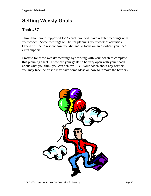# **Setting Weekly Goals**

### **Task #37**

Throughout your Supported Job Search, you will have regular meetings with your coach. Some meetings will be for planning your week of activities. Others will be to review how you did and to focus on areas where you need extra support.

Practise for these weekly meetings by working with your coach to complete this planning sheet. These are your goals so be very open with your coach about what you think you can achieve. Tell your coach about any barriers you may face; he or she may have some ideas on how to remove the barriers.

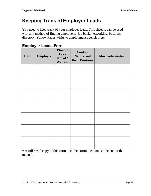# **Keeping Track of Employer Leads**

You need to keep track of your employer leads. This sheet is can be used with any method of finding employers: job bank, networking, business directory, Yellow Pages, visits to employment agencies, etc.

# **Employer Leads Form**

| <b>Date</b> | Employer | Phone /<br>$\Gamma$ ax/<br>Email /<br>Website | Contact<br><b>Names</b> and<br>their Positions | <b>More information</b> |
|-------------|----------|-----------------------------------------------|------------------------------------------------|-------------------------|
|             |          |                                               |                                                |                         |
|             |          |                                               |                                                |                         |
|             |          |                                               |                                                |                         |
|             |          |                                               |                                                |                         |
|             |          |                                               |                                                |                         |
|             |          |                                               |                                                |                         |
|             |          |                                               |                                                |                         |

\* A full-sized copy of this form is in the "forms section" at the end of the manual.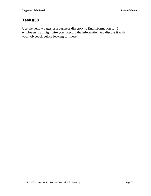### **Task #38**

Use the yellow pages or a business directory to find information for 5 employers that might hire you. Record the information and discuss it with your job coach before looking for more.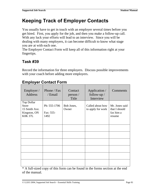# **Keeping Track of Employer Contacts**

You usually have to get in touch with an employer several times before you get hired. First, you apply for the job, and then you make a follow-up call. With any luck your efforts will lead to an interview. Since you will be dealing with many employers, it can become difficult to know what stage you are at with each one.

The Employer Contact Form will keep all of this information right at your fingertips.

# **Task #39**

Record the information for three employers. Discuss possible improvements with your coach before adding more employers.

| Employer /<br><b>Address</b>                                                  | Phone / Fax<br>/ Email            | Contact<br>person /<br>Title | Application /<br>follow-up $/$<br>Interview | Comments                                               |
|-------------------------------------------------------------------------------|-----------------------------------|------------------------------|---------------------------------------------|--------------------------------------------------------|
| Top Dollar<br><b>Store</b><br>15 Smith Ave.<br>Kingston, ON<br><b>K0K 37L</b> | Ph: 555-1706<br>Fax: 555-<br>1492 | Bob Jones,<br>Owner          | Called about how<br>to apply for work       | Mr. Jones said<br>that I should<br>fax him a<br>resume |
|                                                                               |                                   |                              |                                             |                                                        |
|                                                                               |                                   |                              |                                             |                                                        |
|                                                                               |                                   |                              |                                             |                                                        |
|                                                                               |                                   |                              |                                             |                                                        |
|                                                                               |                                   |                              |                                             |                                                        |

### **Employer Contact Form**

\* A full-sized copy of this form can be found in the forms section at the end of the manual.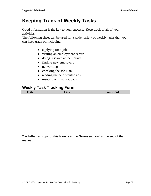# **Keeping Track of Weekly Tasks**

Good information is the key to your success. Keep track of all of your activities.

The following sheet can be used for a wide variety of weekly tasks that you can keep track of, including:

- applying for a job
- visiting an employment centre
- doing research at the library
- finding new employers
- networking
- checking the Job Bank
- reading the help wanted ads
- meeting with your Coach

# **Weekly Task Tracking Form**

| <b>Date</b> | <b>Task</b> | <b>Comment</b> |
|-------------|-------------|----------------|
|             |             |                |
|             |             |                |
|             |             |                |
|             |             |                |
|             |             |                |
|             |             |                |
|             |             |                |
|             |             |                |
|             |             |                |
|             |             |                |

\* A full-sized copy of this form is in the "forms section" at the end of the manual.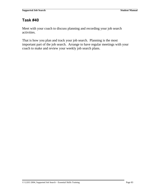# **Task #40**

Meet with your coach to discuss planning and recording your job search activities.

That is how you plan and track your job search. Planning is the most important part of the job search. Arrange to have regular meetings with your coach to make and review your weekly job search plans.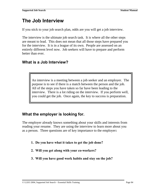# **The Job Interview**

If you stick to your job search plan, odds are you will get a job interview.

The interview is the ultimate job search task. It is where all the other steps are meant to lead. This does not mean that all those steps have prepared you for the interview. It is in a league of its own. People are assessed on an entirely different level now. Job seekers will have to prepare and perform better than ever.

### **What is a Job Interview?**

An interview is a meeting between a job seeker and an employer. The purpose is to see if there is a match between the person and the job. All of the steps you have taken so far have been leading to the interview. There is a lot riding on the interview. If you perform well, you could get the job. Once again, the key to success is preparation.

### **What the employer is looking for.**

The employer already knows something about your skills and interests from reading your resume. They are using the interview to learn more about you as a person. Three questions are of key importance to the employer**:** 

- **1. Do you have what it takes to get the job done?**
- **2. Will you get along with your co-workers?**
- **3. Will you have good work habits and stay on the job?**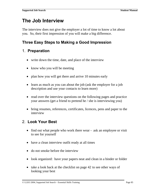# **The Job Interview**

The interview does not give the employer a lot of time to know a lot about you. So, their first impression of you will make a big difference.

### **Three Easy Steps to Making a Good Impression**

### 1. **Preparation**

- write down the time, date, and place of the interview
- know who you will be meeting
- plan how you will get there and arrive 10 minutes early
- learn as much as you can about the job (ask the employer for a job description and use your contacts to learn more)
- read over the interview questions on the following pages and practice your answers (get a friend to pretend he / she is interviewing you)
- bring resumes, references, certificates, licences, pens and paper to the interview

# 2. **Look Your Best**

- find out what people who work there wear ask an employee or visit to see for yourself
- have a clean interview outfit ready at all times
- do not smoke before the interview
- look organized: have your papers neat and clean in a binder or folder
- take a look back at the checklist on page 42 to see other ways of looking your best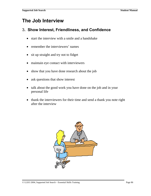# **The Job Interview**

#### 3**. Show Interest, Friendliness, and Confidence**

- start the interview with a smile and a handshake
- remember the interviewers' names
- sit up straight and try not to fidget
- maintain eye contact with interviewers
- show that you have done research about the job
- ask questions that show interest
- talk about the good work you have done on the job and in your personal life
- thank the interviewers for their time and send a thank you note right after the interview

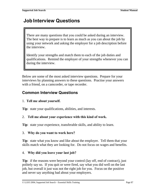# **Job Interview Questions**

There are many questions that you could be asked during an interview. The best way to prepare is to learn as much as you can about the job by using your network and asking the employer for a job description before the interview.

Identify your strengths and match them to each of the job duties and qualifications. Remind the employer of your strengths whenever you can during the interview.

Below are some of the most asked interview questions. Prepare for your interviews by planning answers to these questions. Practise your answers with a friend, on a camcorder, or tape recorder.

#### **Common Interview Questions**

#### 1. **Tell me about yourself.**

**Tip**: state your qualifications, abilities, and interests.

#### 2. **Tell me about your experience with this kind of work.**

**Tip**: state your experience, transferable skills, and ability to learn.

#### 3. **Why do you want to work here?**

**Tip**: state what you know and like about the employer. Tell them that your skills match what they are looking for. Do not focus on wages and benefits.

#### 4. **Why did you leave your last job?**

**Tip**: if the reasons were beyond your control (lay off, end of contract), just politely say so. If you quit or were fired, say what you did well on the last job, but overall it just was not the right job for you. Focus on the positive and never say anything bad about your employers.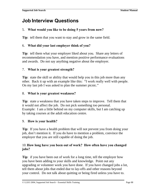# **Job Interview Questions**

#### 5. **What would you like to be doing 5 years from now?**

**Tip**: tell them that you want to stay and grow in the same field.

#### 6. **What did your last employer think of you?**

**Tip**: tell them what your employer liked about you. Share any letters of recommendation you have, and mention positive performance evaluations and awards. Do not say anything negative about the employer.

#### 7. **What is your greatest strength?**

**Tip**: state the skill or ability that would help you in this job more than any other. Back it up with an example like this: "I work really well with people. On my last job I was asked to plan the summer picnic."

#### 8. **What is your greatest weakness?**

**Tip**: state a weakness that you have taken steps to improve. Tell them that it would not affect the job. Do not pick something too personal. Example: I am a little behind on my computer skills, but I am catching up by taking courses at the adult education centre.

#### 9. **How is your health?**

**Tip**: If you have a health problem that will not prevent you from doing your job, don't mention it. If you do have to mention a problem, convince the employer that you are still capable of doing the job.

#### 10. **How long have you been out of work? How often have you changed jobs?**

**Tip**: if you have been out of work for a long time, tell the employer how you have been adding to your skills and knowledge. Point out any upgrading or volunteer work you have done. If you have changed jobs a lot, tell them about jobs that ended due to lay-offs and other reasons beyond your control. Do not talk about quitting or being fired unless you have to.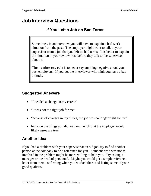# **Job Interview Questions**

### **If You Left a Job on Bad Terms**

Sometimes, in an interview you will have to explain a bad work situation from the past. The employer might want to talk to your supervisor from a job that you left on bad terms. It is better to explain the situation in your own words, before they talk to the supervisor about it.

The number one rule is to never say anything negative about your past employers. If you do, the interviewer will think you have a bad attitude.

### **Suggested Answers**

- "I needed a change in my career"
- "it was not the right job for me"
- "because of changes in my duties, the job was no longer right for me"
- focus on the things you did well on the job that the employer would likely agree are true

### **Another Idea**

If you had a problem with your supervisor at an old job, try to find another person at the company to be a reference for you. Someone who was not as involved in the problem might be more willing to help you. Try asking a manager or the head of personnel. Maybe you could get a simple reference letter from them confirming when you worked there and listing some of your good qualities.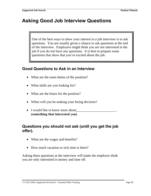# **Asking Good Job Interview Questions**

One of the best ways to show your interest in a job interview is to ask questions. You are usually given a chance to ask questions at the end of the interview. Employers might think you are not interested in the job if you do not have any questions. It is best to prepare some questions that show that you're excited about the job.

#### **Good Questions to Ask in an Interview**

- What are the main duties of the position?
- What skills are you looking for?
- What are the hours for the position?
- When will you be making your hiring decision?
- I would like to know more about **(something that interested you)**

#### **Questions you should not ask (until you get the job offer).**

- What are the wages and benefits?
- How much vacation or sick time is there?

Asking these questions at the interview will make the employer think you are only interested in money and time off.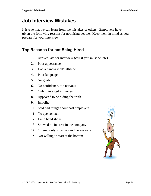# **Job Interview Mistakes**

It is true that we can learn from the mistakes of others. Employers have given the following reasons for not hiring people. Keep them in mind as you prepare for your interview.

#### **Top Reasons for not Being Hired**

- **1.** Arrived late for interview (call if you must be late)
- **2.** Poor appearance
- **3.** Had a "know it all" attitude
- **4.** Poor language
- **5.** No goals
- **6.** No confidence, too nervous
- **7.** Only interested in money
- **8.** Appeared to be hiding the truth
- **9.** Impolite
- **10.** Said bad things about past employers
- **11.** No eye contact
- **12.** Limp hand shake
- **13.** Showed no interest in the company
- **14.** Offered only short yes and no answers
- **15.** Not willing to start at the bottom

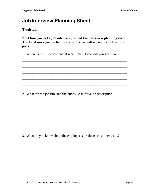# **Job Interview Planning Sheet**

#### **Task #41**

Next time you get a job interview, fill out this interview planning sheet. The hard work you do before the interview will separate you from the pack.

1. Where is the interview and at what time? How will you get there?

2. What are the job title and the duties? Ask for a job description.

3. What do you know about the employer's products, customers, etc.?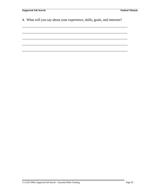4. What will you say about your experience, skills, goals, and interests?

\_\_\_\_\_\_\_\_\_\_\_\_\_\_\_\_\_\_\_\_\_\_\_\_\_\_\_\_\_\_\_\_\_\_\_\_\_\_\_\_\_\_\_\_\_\_\_\_\_\_\_\_\_\_\_\_\_\_\_\_\_

\_\_\_\_\_\_\_\_\_\_\_\_\_\_\_\_\_\_\_\_\_\_\_\_\_\_\_\_\_\_\_\_\_\_\_\_\_\_\_\_\_\_\_\_\_\_\_\_\_\_\_\_\_\_\_\_\_\_\_\_\_

\_\_\_\_\_\_\_\_\_\_\_\_\_\_\_\_\_\_\_\_\_\_\_\_\_\_\_\_\_\_\_\_\_\_\_\_\_\_\_\_\_\_\_\_\_\_\_\_\_\_\_\_\_\_\_\_\_\_\_\_\_

\_\_\_\_\_\_\_\_\_\_\_\_\_\_\_\_\_\_\_\_\_\_\_\_\_\_\_\_\_\_\_\_\_\_\_\_\_\_\_\_\_\_\_\_\_\_\_\_\_\_\_\_\_\_\_\_\_\_\_\_\_

\_\_\_\_\_\_\_\_\_\_\_\_\_\_\_\_\_\_\_\_\_\_\_\_\_\_\_\_\_\_\_\_\_\_\_\_\_\_\_\_\_\_\_\_\_\_\_\_\_\_\_\_\_\_\_\_\_\_\_\_\_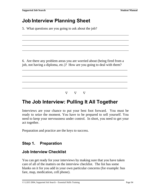# **Job Interview Planning Sheet**

5. What questions are you going to ask about the job?

6. Are there any problem areas you are worried about (being fired from a job, not having a diploma, etc.)? How are you going to deal with them?

\_\_\_\_\_\_\_\_\_\_\_\_\_\_\_\_\_\_\_\_\_\_\_\_\_\_\_\_\_\_\_\_\_\_\_\_\_\_\_\_\_\_\_\_\_\_\_\_\_\_\_\_\_\_\_\_\_\_\_\_\_

\_\_\_\_\_\_\_\_\_\_\_\_\_\_\_\_\_\_\_\_\_\_\_\_\_\_\_\_\_\_\_\_\_\_\_\_\_\_\_\_\_\_\_\_\_\_\_\_\_\_\_\_\_\_\_\_\_\_\_\_\_

\_\_\_\_\_\_\_\_\_\_\_\_\_\_\_\_\_\_\_\_\_\_\_\_\_\_\_\_\_\_\_\_\_\_\_\_\_\_\_\_\_\_\_\_\_\_\_\_\_\_\_\_\_\_\_\_\_\_\_\_\_

\_\_\_\_\_\_\_\_\_\_\_\_\_\_\_\_\_\_\_\_\_\_\_\_\_\_\_\_\_\_\_\_\_\_\_\_\_\_\_\_\_\_\_\_\_\_\_\_\_\_\_\_\_\_\_\_\_\_\_\_\_

\_\_\_\_\_\_\_\_\_\_\_\_\_\_\_\_\_\_\_\_\_\_\_\_\_\_\_\_\_\_\_\_\_\_\_\_\_\_\_\_\_\_\_\_\_\_\_\_\_\_\_\_\_\_\_\_\_\_\_\_\_\_\_\_\_\_\_\_\_\_\_\_

\_\_\_\_\_\_\_\_\_\_\_\_\_\_\_\_\_\_\_\_\_\_\_\_\_\_\_\_\_\_\_\_\_\_\_\_\_\_\_\_\_\_\_\_\_\_\_\_\_\_\_\_\_\_\_\_\_\_\_\_\_\_\_\_\_\_\_\_\_\_\_\_

\_\_\_\_\_\_\_\_\_\_\_\_\_\_\_\_\_\_\_\_\_\_\_\_\_\_\_\_\_\_\_\_\_\_\_\_\_\_\_\_\_\_\_\_\_\_\_\_\_\_\_\_\_\_\_\_\_\_\_\_\_\_\_\_\_\_\_\_\_\_\_\_

\_\_\_\_\_\_\_\_\_\_\_\_\_\_\_\_\_\_\_\_\_\_\_\_\_\_\_\_\_\_\_\_\_\_\_\_\_\_\_\_\_\_\_\_\_\_\_\_\_\_\_\_\_\_\_\_\_\_\_\_\_\_\_\_\_\_\_\_\_\_\_\_

 $\nabla \quad \nabla \quad \nabla$ 

# **The Job Interview: Pulling It All Together**

Interviews are your chance to put your best foot forward. You must be ready to seize the moment. You have to be prepared to sell yourself. You need to keep your nervousness under control. In short, you need to get your act together.

Preparation and practice are the keys to success.

### **Step 1. Preparation**

#### **Job Interview Checklist**

You can get ready for your interviews by making sure that you have taken care of all of the matters on the interview checklist. The list has some blanks on it for you add in your own particular concerns (for example: bus fare, map, medication, cell phone).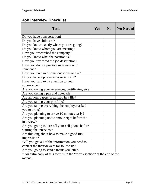# **Job Interview Checklist**

| <b>Task</b>                                                                                | <b>Yes</b> | $\bf N_0$ | <b>Not Needed</b> |
|--------------------------------------------------------------------------------------------|------------|-----------|-------------------|
| Do you have transportation?                                                                |            |           |                   |
| Do you have childcare?                                                                     |            |           |                   |
| Do you know exactly where you are going?                                                   |            |           |                   |
| Do you know whom you are meeting?                                                          |            |           |                   |
| Have you researched the company?                                                           |            |           |                   |
| Do you know what the position is?                                                          |            |           |                   |
| Have you reviewed the job description?                                                     |            |           |                   |
| Have you done a practice interview with<br>someone?                                        |            |           |                   |
| Have you prepared some questions to ask?                                                   |            |           |                   |
| Do you have a proper interview outfit?                                                     |            |           |                   |
| Have you paid extra attention to your                                                      |            |           |                   |
| appearance?                                                                                |            |           |                   |
| Are you taking your references, certificates, etc?                                         |            |           |                   |
| Are you taking a pen and notepad?                                                          |            |           |                   |
| Are all your papers organized in a file?                                                   |            |           |                   |
| Are you taking your portfolio?                                                             |            |           |                   |
| Are you taking everything the employer asked<br>you to bring?                              |            |           |                   |
| Are you planning to arrive 10 minutes early?                                               |            |           |                   |
| Are you planning not to smoke right before the<br>interview?                               |            |           |                   |
| Are you going to turn off your cell phone before<br>starting the interview?                |            |           |                   |
| Are thinking about how to make a good first<br>impression?                                 |            |           |                   |
| Will you get all of the information you need to<br>contact the interviewers for follow-up? |            |           |                   |
| Are you going to send a thank you letter?                                                  |            |           |                   |

\* An extra copy of this form is in the "forms section" at the end of the manual.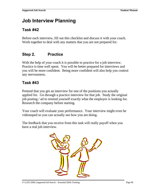# **Job Interview Planning**

### **Task #42**

Before each interview, fill out this checklist and discuss it with your coach. Work together to deal with any matters that you are not prepared for.

# **Step 2. Practice**

With the help of your coach it is possible to practice for a job interview. Practice is time well spent. You will be better prepared for interviews and you will be more confident. Being more confident will also help you control any nervousness.

# **Task #43**

Pretend that you get an interview for one of the positions you actually applied for. Go through a practice interview for that job. Study the original job posting / ad to remind yourself exactly what the employer is looking for. Research the company before starting.

Your coach will evaluate your performance. Your interview might even be videotaped so you can actually see how you are doing.

The feedback that you receive from this task will really payoff when you have a real job interview.

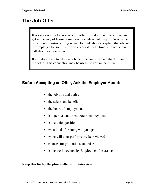# **The Job Offer**

It is very exciting to receive a job offer. But don't let that excitement get in the way of learning important details about the job. Now is the time to ask questions. If you need to think about accepting the job, ask the employer for some time to consider it. Set a time within one day to call about your decision.

If you decide not to take the job, call the employer and thank them for the offer. This connection may be useful to you in the future.

#### **Before Accepting an Offer, Ask the Employer About:**

- the job title and duties
- the salary and benefits
- the hours of employment
- is it permanent or temporary employment
- is it a union position
- what kind of training will you get
- when will your performance be reviewed
- chances for promotions and raises
- is the work covered by Employment Insurance

**Keep this list by the phone after a job interview.**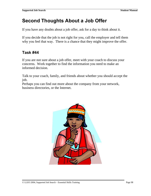# **Second Thoughts About a Job Offer**

If you have any doubts about a job offer, ask for a day to think about it.

If you decide that the job is not right for you, call the employer and tell them why you feel that way. There is a chance that they might improve the offer.

### **Task #44**

If you are not sure about a job offer, meet with your coach to discuss your concerns. Work together to find the information you need to make an informed decision.

Talk to your coach, family, and friends about whether you should accept the job.

Perhaps you can find out more about the company from your network, business directories, or the Internet.

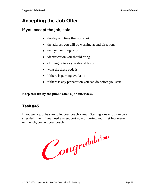# **Accepting the Job Offer**

#### **If you accept the job, ask:**

- the day and time that you start
- the address you will be working at and directions
- who you will report to
- identification you should bring
- clothing or tools you should bring
- what the dress code is
- if there is parking available
- if there is any preparation you can do before you start

**Keep this list by the phone after a job interview.**

#### **Task #45**

If you get a job, be sure to let your coach know. Starting a new job can be a stressful time. If you need any support now or during your first few weeks on the job, contact your coach.

Congratulations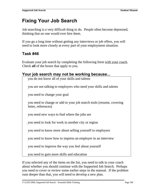# **Fixing Your Job Search**

Job searching is a very difficult thing to do. People often become depressed, thinking that no one would ever hire them.

If you go a long time without getting any interviews or job offers, you will need to look more closely at every part of your employment situation.

### **Task #46**

Evaluate your job search by completing the following form with your coach. Check **all** of the boxes that apply to you.

| Your job search may not be working because                                                  |  |  |
|---------------------------------------------------------------------------------------------|--|--|
| you do not know all of your skills and talents                                              |  |  |
| you are not talking to employers who need your skills and talents                           |  |  |
| you need to change your goal                                                                |  |  |
| you need to change or add to your job search tools (resume, covering<br>letter, references) |  |  |
| you need new ways to find where the jobs are                                                |  |  |
| you need to look for work in another city or region                                         |  |  |
| you need to know more about selling yourself to employers                                   |  |  |
| you need to know how to impress an employer in an interview                                 |  |  |
| you need to improve the way you feel about yourself                                         |  |  |
|                                                                                             |  |  |

you need to gain more skills and education

If you selected any of the items on the list, you need to talk to your coach about whether you should continue with the Supported Job Search. Perhaps you need to cover or review some earlier steps in the manual. If the problem runs deeper than that, you will need to develop a new plan.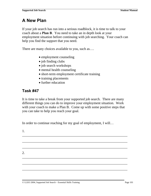# **A New Plan**

If your job search has run into a serious roadblock, it is time to talk to your coach about a **Plan B**. You need to take an in depth look at your employment situation before continuing with job searching. Your coach can help you find the support that you need.

There are many choices available to you, such as....

- employment counseling
- job finding clubs
- job search workshops
- mental health counseling
- short-term employment certificate training
- training placements
- further education

# **Task #47**

It is time to take a break from your supported job search. There are many different things you can do to improve your employment situation. Work with your coach to make a Plan B. Come up with some positive steps that you can take to help you reach your goal.

\_\_\_\_\_\_\_\_\_\_\_\_\_\_\_\_\_\_\_\_\_\_\_\_\_\_\_\_\_\_\_\_\_\_\_\_\_\_\_\_\_\_\_\_\_\_\_\_\_\_\_\_\_\_\_\_\_\_\_\_\_

\_\_\_\_\_\_\_\_\_\_\_\_\_\_\_\_\_\_\_\_\_\_\_\_\_\_\_\_\_\_\_\_\_\_\_\_\_\_\_\_\_\_\_\_\_\_\_\_\_\_\_\_\_\_\_\_\_\_\_\_\_

\_\_\_\_\_\_\_\_\_\_\_\_\_\_\_\_\_\_\_\_\_\_\_\_\_\_\_\_\_\_\_\_\_\_\_\_\_\_\_\_\_\_\_\_\_\_\_\_\_\_\_\_\_\_\_\_\_\_\_\_\_

\_\_\_\_\_\_\_\_\_\_\_\_\_\_\_\_\_\_\_\_\_\_\_\_\_\_\_\_\_\_\_\_\_\_\_\_\_\_\_\_\_\_\_\_\_\_\_\_\_\_\_\_\_\_\_\_\_\_\_\_\_

\_\_\_\_\_\_\_\_\_\_\_\_\_\_\_\_\_\_\_\_\_\_\_\_\_\_\_\_\_\_\_\_\_\_\_\_\_\_\_\_\_\_\_\_\_\_\_\_\_\_\_\_\_\_\_\_\_\_\_\_\_

In order to continue reaching for my goal of employment, I will...

1.

2. \_\_\_\_\_\_\_\_\_\_\_\_\_\_\_\_\_\_\_\_\_\_\_\_\_\_\_\_\_\_\_\_\_\_\_\_\_\_\_\_\_\_\_\_\_\_\_\_\_\_\_\_\_\_\_\_\_\_\_\_\_